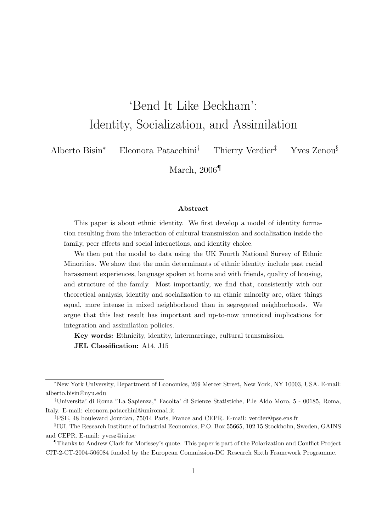# 'Bend It Like Beckham': Identity, Socialization, and Assimilation

Alberto Bisin<sup>∗</sup> Eleonora Patacchini† Thierry Verdier‡ Yves Zenou§

March, 2006<sup>¶</sup>

#### Abstract

This paper is about ethnic identity. We first develop a model of identity formation resulting from the interaction of cultural transmission and socialization inside the family, peer effects and social interactions, and identity choice.

We then put the model to data using the UK Fourth National Survey of Ethnic Minorities. We show that the main determinants of ethnic identity include past racial harassment experiences, language spoken at home and with friends, quality of housing, and structure of the family. Most importantly, we find that, consistently with our theoretical analysis, identity and socialization to an ethnic minority are, other things equal, more intense in mixed neighborhood than in segregated neighborhoods. We argue that this last result has important and up-to-now unnoticed implications for integration and assimilation policies.

Key words: Ethnicity, identity, intermarriage, cultural transmission. JEL Classification: A14, J15

<sup>∗</sup>New York University, Department of Economics, 269 Mercer Street, New York, NY 10003, USA. E-mail: alberto.bisin@nyu.edu

<sup>†</sup>Universita' di Roma "La Sapienza," Facolta' di Scienze Statistiche, P.le Aldo Moro, 5 - 00185, Roma, Italy. E-mail: eleonora.patacchini@uniroma1.it

<sup>‡</sup>PSE, 48 boulevard Jourdan, 75014 Paris, France and CEPR. E-mail: verdier@pse.ens.fr

<sup>§</sup> IUI, The Research Institute of Industrial Economics, P.O. Box 55665, 102 15 Stockholm, Sweden, GAINS and CEPR. E-mail: yvesz@iui.se

<sup>¶</sup>Thanks to Andrew Clark for Morissey's quote. This paper is part of the Polarization and Conflict Project CIT-2-CT-2004-506084 funded by the European Commission-DG Research Sixth Framework Programme.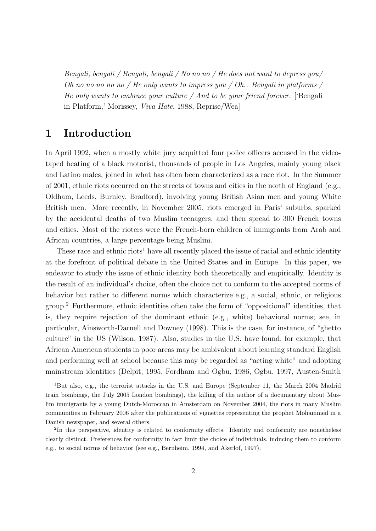Bengali, bengali / Bengali, bengali / No no no / He does not want to depress you/ Oh no no no no no / He only wants to impress you / Oh.. Bengali in platforms / He only wants to embrace your culture  $\angle$  And to be your friend forever. [Bengali in Platform,' Morissey, Viva Hate, 1988, Reprise/Wea]

# 1 Introduction

In April 1992, when a mostly white jury acquitted four police officers accused in the videotaped beating of a black motorist, thousands of people in Los Angeles, mainly young black and Latino males, joined in what has often been characterized as a race riot. In the Summer of 2001, ethnic riots occurred on the streets of towns and cities in the north of England (e.g., Oldham, Leeds, Burnley, Bradford), involving young British Asian men and young White British men. More recently, in November 2005, riots emerged in Paris' suburbs, sparked by the accidental deaths of two Muslim teenagers, and then spread to 300 French towns and cities. Most of the rioters were the French-born children of immigrants from Arab and African countries, a large percentage being Muslim.

These race and ethnic riots<sup>1</sup> have all recently placed the issue of racial and ethnic identity at the forefront of political debate in the United States and in Europe. In this paper, we endeavor to study the issue of ethnic identity both theoretically and empirically. Identity is the result of an individual's choice, often the choice not to conform to the accepted norms of behavior but rather to different norms which characterize e.g., a social, ethnic, or religious group.<sup>2</sup> Furthermore, ethnic identities often take the form of "oppositional" identities, that is, they require rejection of the dominant ethnic (e.g., white) behavioral norms; see, in particular, Ainsworth-Darnell and Downey (1998). This is the case, for instance, of "ghetto culture" in the US (Wilson, 1987). Also, studies in the U.S. have found, for example, that African American students in poor areas may be ambivalent about learning standard English and performing well at school because this may be regarded as "acting white" and adopting mainstream identities (Delpit, 1995, Fordham and Ogbu, 1986, Ogbu, 1997, Austen-Smith

<sup>&</sup>lt;sup>1</sup>But also, e.g., the terrorist attacks in the U.S. and Europe (September 11, the March 2004 Madrid train bombings, the July 2005 London bombings), the killing of the author of a documentary about Muslim immigrants by a young Dutch-Moroccan in Amsterdam on November 2004, the riots in many Muslim communities in February 2006 after the publications of vignettes representing the prophet Mohammed in a Danish newspaper, and several others.

<sup>&</sup>lt;sup>2</sup>In this perspective, identity is related to conformity effects. Identity and conformity are nonetheless clearly distinct. Preferences for conformity in fact limit the choice of individuals, inducing them to conform e.g., to social norms of behavior (see e.g., Bernheim, 1994, and Akerlof, 1997).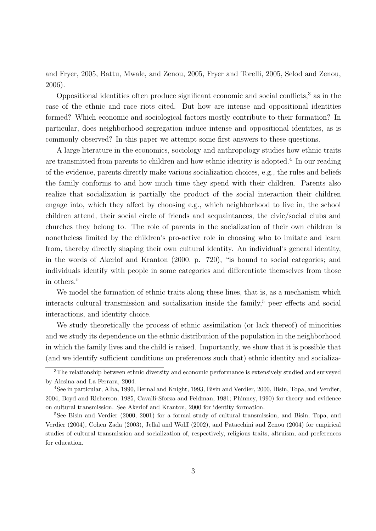and Fryer, 2005, Battu, Mwale, and Zenou, 2005, Fryer and Torelli, 2005, Selod and Zenou, 2006).

Oppositional identities often produce significant economic and social conflicts,<sup>3</sup> as in the case of the ethnic and race riots cited. But how are intense and oppositional identities formed? Which economic and sociological factors mostly contribute to their formation? In particular, does neighborhood segregation induce intense and oppositional identities, as is commonly observed? In this paper we attempt some first answers to these questions.

A large literature in the economics, sociology and anthropology studies how ethnic traits are transmitted from parents to children and how ethnic identity is adopted.<sup>4</sup> In our reading of the evidence, parents directly make various socialization choices, e.g., the rules and beliefs the family conforms to and how much time they spend with their children. Parents also realize that socialization is partially the product of the social interaction their children engage into, which they affect by choosing e.g., which neighborhood to live in, the school children attend, their social circle of friends and acquaintances, the civic/social clubs and churches they belong to. The role of parents in the socialization of their own children is nonetheless limited by the children's pro-active role in choosing who to imitate and learn from, thereby directly shaping their own cultural identity. An individual's general identity, in the words of Akerlof and Kranton (2000, p. 720), "is bound to social categories; and individuals identify with people in some categories and differentiate themselves from those in others."

We model the formation of ethnic traits along these lines, that is, as a mechanism which interacts cultural transmission and socialization inside the family, $5$  peer effects and social interactions, and identity choice.

We study theoretically the process of ethnic assimilation (or lack thereof) of minorities and we study its dependence on the ethnic distribution of the population in the neighborhood in which the family lives and the child is raised. Importantly, we show that it is possible that (and we identify sufficient conditions on preferences such that) ethnic identity and socializa-

<sup>&</sup>lt;sup>3</sup>The relationship between ethnic diversity and economic performance is extensively studied and surveyed by Alesina and La Ferrara, 2004.

<sup>4</sup>See in particular, Alba, 1990, Bernal and Knight, 1993, Bisin and Verdier, 2000, Bisin, Topa, and Verdier, 2004, Boyd and Richerson, 1985, Cavalli-Sforza and Feldman, 1981; Phinney, 1990) for theory and evidence on cultural transmission. See Akerlof and Kranton, 2000 for identity formation.

<sup>&</sup>lt;sup>5</sup>See Bisin and Verdier (2000, 2001) for a formal study of cultural transmission, and Bisin, Topa, and Verdier (2004), Cohen Zada (2003), Jellal and Wolff (2002), and Patacchini and Zenou (2004) for empirical studies of cultural transmission and socialization of, respectively, religious traits, altruism, and preferences for education.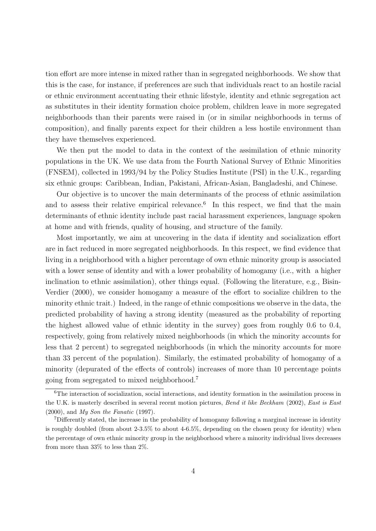tion effort are more intense in mixed rather than in segregated neighborhoods. We show that this is the case, for instance, if preferences are such that individuals react to an hostile racial or ethnic environment accentuating their ethnic lifestyle, identity and ethnic segregation act as substitutes in their identity formation choice problem, children leave in more segregated neighborhoods than their parents were raised in (or in similar neighborhoods in terms of composition), and finally parents expect for their children a less hostile environment than they have themselves experienced.

We then put the model to data in the context of the assimilation of ethnic minority populations in the UK. We use data from the Fourth National Survey of Ethnic Minorities (FNSEM), collected in 1993/94 by the Policy Studies Institute (PSI) in the U.K., regarding six ethnic groups: Caribbean, Indian, Pakistani, African-Asian, Bangladeshi, and Chinese.

Our objective is to uncover the main determinants of the process of ethnic assimilation and to assess their relative empirical relevance.<sup>6</sup> In this respect, we find that the main determinants of ethnic identity include past racial harassment experiences, language spoken at home and with friends, quality of housing, and structure of the family.

Most importantly, we aim at uncovering in the data if identity and socialization effort are in fact reduced in more segregated neighborhoods. In this respect, we find evidence that living in a neighborhood with a higher percentage of own ethnic minority group is associated with a lower sense of identity and with a lower probability of homogamy (i.e., with a higher inclination to ethnic assimilation), other things equal. (Following the literature, e.g., Bisin-Verdier (2000), we consider homogamy a measure of the effort to socialize children to the minority ethnic trait.) Indeed, in the range of ethnic compositions we observe in the data, the predicted probability of having a strong identity (measured as the probability of reporting the highest allowed value of ethnic identity in the survey) goes from roughly 0.6 to 0.4, respectively, going from relatively mixed neighborhoods (in which the minority accounts for less that 2 percent) to segregated neighborhoods (in which the minority accounts for more than 33 percent of the population). Similarly, the estimated probability of homogamy of a minority (depurated of the effects of controls) increases of more than 10 percentage points going from segregated to mixed neighborhood.<sup>7</sup>

<sup>&</sup>lt;sup>6</sup>The interaction of socialization, social interactions, and identity formation in the assimilation process in the U.K. is masterly described in several recent motion pictures, Bend it like Beckham (2002), East is East (2000), and My Son the Fanatic (1997).

<sup>7</sup>Differently stated, the increase in the probability of homogamy following a marginal increase in identity is roughly doubled (from about 2-3.5% to about 4-6.5%, depending on the chosen proxy for identity) when the percentage of own ethnic minority group in the neighborhood where a minority individual lives decreases from more than 33% to less than 2%.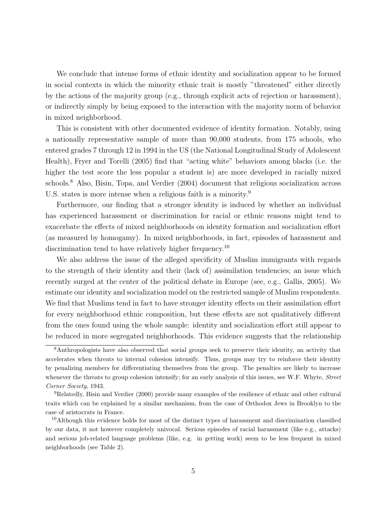We conclude that intense forms of ethnic identity and socialization appear to be formed in social contexts in which the minority ethnic trait is mostly "threatened" either directly by the actions of the majority group (e.g., through explicit acts of rejection or harassment), or indirectly simply by being exposed to the interaction with the majority norm of behavior in mixed neighborhood.

This is consistent with other documented evidence of identity formation. Notably, using a nationally representative sample of more than 90,000 students, from 175 schools, who entered grades 7 through 12 in 1994 in the US (the National Longitudinal Study of Adolescent Health), Fryer and Torelli (2005) find that "acting white" behaviors among blacks (i.e. the higher the test score the less popular a student is) are more developed in racially mixed schools.<sup>8</sup> Also, Bisin, Topa, and Verdier (2004) document that religious socialization across U.S. states is more intense when a religious faith is a minority.<sup>9</sup>

Furthermore, our finding that a stronger identity is induced by whether an individual has experienced harassment or discrimination for racial or ethnic reasons might tend to exacerbate the effects of mixed neighborhoods on identity formation and socialization effort (as measured by homogamy). In mixed neighborhoods, in fact, episodes of harassment and discrimination tend to have relatively higher frequency.<sup>10</sup>

We also address the issue of the alleged specificity of Muslim immigrants with regards to the strength of their identity and their (lack of) assimilation tendencies; an issue which recently surged at the center of the political debate in Europe (see, e.g., Gallis, 2005). We estimate our identity and socialization model on the restricted sample of Muslim respondents. We find that Muslims tend in fact to have stronger identity effects on their assimilation effort for every neighborhood ethnic composition, but these effects are not qualitatively different from the ones found using the whole sample: identity and socialization effort still appear to be reduced in more segregated neighborhoods. This evidence suggests that the relationship

<sup>8</sup>Anthropologists have also observed that social groups seek to preserve their identity, an activity that accelerates when threats to internal cohesion intensify. Thus, groups may try to reinforce their identity by penalizing members for differentiating themselves from the group. The penalties are likely to increase whenever the threats to group cohesion intensify; for an early analysis of this issues, see W.F. Whyte, Street Corner Society, 1943.

<sup>9</sup>Relatedly, Bisin and Verdier (2000) provide many examples of the resilience of ethnic and other cultural traits which can be explained by a similar mechanism, from the case of Orthodox Jews in Brooklyn to the case of aristocrats in France.

<sup>&</sup>lt;sup>10</sup>Although this evidence holds for most of the distinct types of harassment and discrimination classified by our data, it not however completely univocal. Serious episodes of racial harassment (like e.g., attacks) and serious job-related language problems (like, e.g. in getting work) seem to be less frequent in mixed neighborhoods (see Table 2).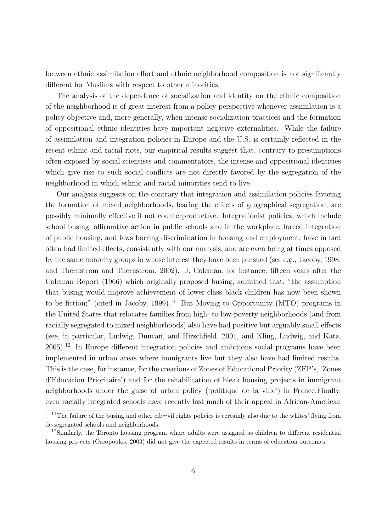between ethnic assimilation effort and ethnic neighborhood composition is not significantly different for Muslims with respect to other minorities.

The analysis of the dependence of socialization and identity on the ethnic composition of the neighborhood is of great interest from a policy perspective whenever assimilation is a policy objective and, more generally, when intense socialization practices and the formation of oppositional ethnic identities have important negative externalities. While the failure of assimilation and integration policies in Europe and the U.S. is certainly reflected in the recent ethnic and racial riots, our empirical results suggest that, contrary to presumptions often exposed by social scientists and commentators, the intense and oppositional identities which give rise to such social conflicts are not directly favored by the segregation of the neighborhood in which ethnic and racial minorities tend to live.

Our analysis suggests on the contrary that integration and assimilation policies favoring the formation of mixed neighborhoods, fearing the effects of geographical segregation, are possibly minimally effective if not counterproductive. Integrationist policies, which include school busing, affirmative action in public schools and in the workplace, forced integration of public housing, and laws barring discrimination in housing and employment, have in fact often had limited effects, consistently with our analysis, and are even being at times opposed by the same minority groups in whose interest they have been pursued (see e.g., Jacoby, 1998, and Thernstrom and Thernstrom, 2002). J. Coleman, for instance, fifteen years after the Coleman Report (1966) which originally proposed busing, admitted that, "the assumption that busing would improve achievement of lower-class black children has now been shown to be fiction;" (cited in Jacoby, 1999).<sup>11</sup> But Moving to Opportunity (MTO) programs in the United States that relocates families from high- to low-poverty neighborhoods (and from racially segregated to mixed neighborhoods) also have had positive but arguably small effects (see, in particular, Ludwig, Duncan, and Hirschfield, 2001, and Kling, Ludwig, and Katz,  $2005$ <sup>12</sup> In Europe different integration policies and ambitious social programs have been implemented in urban areas where immigrants live but they also have had limited results. This is the case, for instance, for the creations of Zones of Educational Priority (ZEP's, 'Zones d'Education Prioritaire') and for the rehabilitation of bleak housing projects in immigrant neighborhoods under the guise of urban policy ('politique de la ville') in France.Finally, even racially integrated schools have recently lost much of their appeal in African-American

<sup>&</sup>lt;sup>11</sup>The failure of the busing and other cib=vil rights policies is certainly also due to the whites' flying from de-segregated schools and neighborhoods.

<sup>&</sup>lt;sup>12</sup>Similarly, the Toronto housing program where adults were assigned as children to different residential housing projects (Oreopoulos, 2003) did not give the expected results in terms of education outcomes.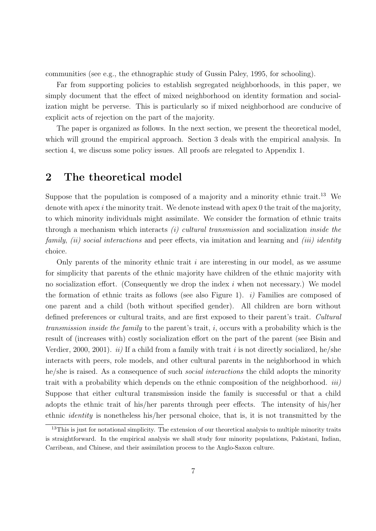communities (see e.g., the ethnographic study of Gussin Paley, 1995, for schooling).

Far from supporting policies to establish segregated neighborhoods, in this paper, we simply document that the effect of mixed neighborhood on identity formation and socialization might be perverse. This is particularly so if mixed neighborhood are conducive of explicit acts of rejection on the part of the majority.

The paper is organized as follows. In the next section, we present the theoretical model, which will ground the empirical approach. Section 3 deals with the empirical analysis. In section 4, we discuss some policy issues. All proofs are relegated to Appendix 1.

# 2 The theoretical model

Suppose that the population is composed of a majority and a minority ethnic trait.<sup>13</sup> We denote with apex  $i$  the minority trait. We denote instead with apex 0 the trait of the majority, to which minority individuals might assimilate. We consider the formation of ethnic traits through a mechanism which interacts  $(i)$  cultural transmission and socialization inside the family, (ii) social interactions and peer effects, via imitation and learning and (iii) identity choice.

Only parents of the minority ethnic trait  $i$  are interesting in our model, as we assume for simplicity that parents of the ethnic majority have children of the ethnic majority with no socialization effort. (Consequently we drop the index  $i$  when not necessary.) We model the formation of ethnic traits as follows (see also Figure 1). *i*) Families are composed of one parent and a child (both without specified gender). All children are born without defined preferences or cultural traits, and are first exposed to their parent's trait. Cultural transmission inside the family to the parent's trait,  $i$ , occurs with a probability which is the result of (increases with) costly socialization effort on the part of the parent (see Bisin and Verdier, 2000, 2001). *ii*) If a child from a family with trait *i* is not directly socialized, he/she interacts with peers, role models, and other cultural parents in the neighborhood in which he/she is raised. As a consequence of such *social interactions* the child adopts the minority trait with a probability which depends on the ethnic composition of the neighborhood. iii) Suppose that either cultural transmission inside the family is successful or that a child adopts the ethnic trait of his/her parents through peer effects. The intensity of his/her ethnic identity is nonetheless his/her personal choice, that is, it is not transmitted by the

 $13$ This is just for notational simplicity. The extension of our theoretical analysis to multiple minority traits is straightforward. In the empirical analysis we shall study four minority populations, Pakistani, Indian, Carribean, and Chinese, and their assimilation process to the Anglo-Saxon culture.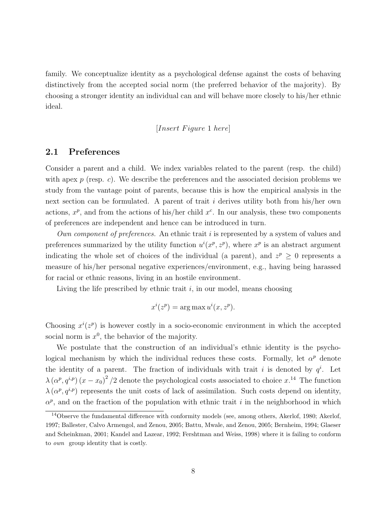family. We conceptualize identity as a psychological defense against the costs of behaving distinctively from the accepted social norm (the preferred behavior of the majority). By choosing a stronger identity an individual can and will behave more closely to his/her ethnic ideal.

[Insert F igure 1 here]

#### 2.1 Preferences

Consider a parent and a child. We index variables related to the parent (resp. the child) with apex  $p$  (resp. c). We describe the preferences and the associated decision problems we study from the vantage point of parents, because this is how the empirical analysis in the next section can be formulated. A parent of trait  $i$  derives utility both from his/her own actions,  $x^p$ , and from the actions of his/her child  $x^c$ . In our analysis, these two components of preferences are independent and hence can be introduced in turn.

Own component of preferences. An ethnic trait i is represented by a system of values and preferences summarized by the utility function  $u^{i}(x^{p}, z^{p})$ , where  $x^{p}$  is an abstract argument indicating the whole set of choices of the individual (a parent), and  $z^p \geq 0$  represents a measure of his/her personal negative experiences/environment, e.g., having being harassed for racial or ethnic reasons, living in an hostile environment.

Living the life prescribed by ethnic trait  $i$ , in our model, means choosing

$$
x^{i}(z^{p}) = \arg \max u^{i}(x, z^{p}).
$$

Choosing  $x^{i}(z^{p})$  is however costly in a socio-economic environment in which the accepted social norm is  $x^0$ , the behavior of the majority.

We postulate that the construction of an individual's ethnic identity is the psychological mechanism by which the individual reduces these costs. Formally, let  $\alpha^p$  denote the identity of a parent. The fraction of individuals with trait i is denoted by  $q<sup>i</sup>$ . Let  $\lambda(\alpha^p, q^{i,p}) (x-x_0)^2/2$  denote the psychological costs associated to choice  $x^{14}$ . The function  $\lambda(\alpha^p, q^{i,p})$  represents the unit costs of lack of assimilation. Such costs depend on identity,  $\alpha^p$ , and on the fraction of the population with ethnic trait i in the neighborhood in which

<sup>14</sup>Observe the fundamental difference with conformity models (see, among others, Akerlof, 1980; Akerlof, 1997; Ballester, Calvo Armengol, and Zenou, 2005; Battu, Mwale, and Zenou, 2005; Bernheim, 1994; Glaeser and Scheinkman, 2001; Kandel and Lazear, 1992; Fershtman and Weiss, 1998) where it is failing to conform to own group identity that is costly.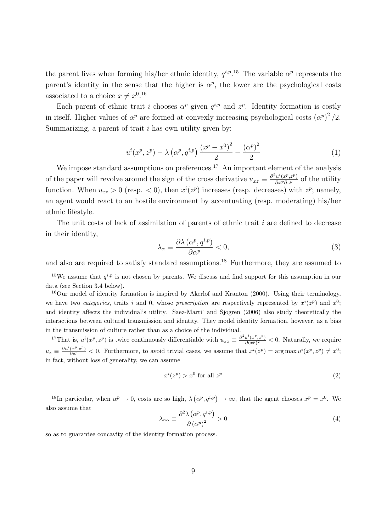the parent lives when forming his/her ethnic identity,  $q^{i,p}$ .<sup>15</sup> The variable  $\alpha^p$  represents the parent's identity in the sense that the higher is  $\alpha^p$ , the lower are the psychological costs associated to a choice  $x \neq x^{0.16}$ 

Each parent of ethnic trait i chooses  $\alpha^p$  given  $q^{i,p}$  and  $z^p$ . Identity formation is costly in itself. Higher values of  $\alpha^p$  are formed at convexly increasing psychological costs  $(\alpha^p)^2/2$ . Summarizing, a parent of trait  $i$  has own utility given by:

$$
u^{i}(x^{p}, z^{p}) - \lambda \left(\alpha^{p}, q^{i,p}\right) \frac{\left(x^{p} - x^{0}\right)^{2}}{2} - \frac{\left(\alpha^{p}\right)^{2}}{2} \tag{1}
$$

We impose standard assumptions on preferences.<sup>17</sup> An important element of the analysis of the paper will revolve around the sign of the cross derivative  $u_{xz} \equiv \frac{\partial^2 u^i(x^p, z^p)}{\partial x^p \partial z^p}$  of the utility function. When  $u_{xz} > 0$  (resp.  $\lt 0$ ), then  $x^{i}(z^{p})$  increases (resp. decreases) with  $z^{p}$ ; namely, an agent would react to an hostile environment by accentuating (resp. moderating) his/her ethnic lifestyle.

The unit costs of lack of assimilation of parents of ethnic trait  $i$  are defined to decrease in their identity,

$$
\lambda_{\alpha} \equiv \frac{\partial \lambda \left( \alpha^{p}, q^{i, p} \right)}{\partial \alpha^{p}} < 0,\tag{3}
$$

and also are required to satisfy standard assumptions.<sup>18</sup> Furthermore, they are assumed to

<sup>17</sup>That is,  $u^i(x^p, z^p)$  is twice continuously differentiable with  $u_{xx} \equiv \frac{\partial^2 u^i(x^p, z^p)}{\partial (x^p)^2}$  $\frac{u(x^i, z^i)}{\partial (x^p)^2}$  < 0. Naturally, we require  $u_z \equiv \frac{\partial u^i(x^p, z^p)}{\partial z^p} < 0$ . Furthermore, to avoid trivial cases, we assume that  $x^i(z^p) = \arg \max u^i(x^p, z^p) \neq x^0$ ; in fact, without loss of generality, we can assume

$$
x^{i}(z^{p}) > x^{0} \text{ for all } z^{p}
$$
 (2)

<sup>18</sup>In particular, when  $\alpha^p \to 0$ , costs are so high,  $\lambda(\alpha^p, q^{i,p}) \to \infty$ , that the agent chooses  $x^p = x^0$ . We also assume that

$$
\lambda_{\alpha\alpha} \equiv \frac{\partial^2 \lambda \left( \alpha^p, q^{i,p} \right)}{\partial \left( \alpha^p \right)^2} > 0 \tag{4}
$$

so as to guarantee concavity of the identity formation process.

<sup>&</sup>lt;sup>15</sup>We assume that  $q^{i,p}$  is not chosen by parents. We discuss and find support for this assumption in our data (see Section 3.4 below).

 $16$ Our model of identity formation is inspired by Akerlof and Kranton (2000). Using their terminology, we have two *categories*, traits i and 0, whose prescription are respectively represented by  $x^{i}(z^{p})$  and  $x^{0}$ ; and identity affects the individual's utility. Saez-Marti' and Sjogren (2006) also study theoretically the interactions between cultural transmission and identity. They model identity formation, however, as a bias in the transmission of culture rather than as a choice of the individual.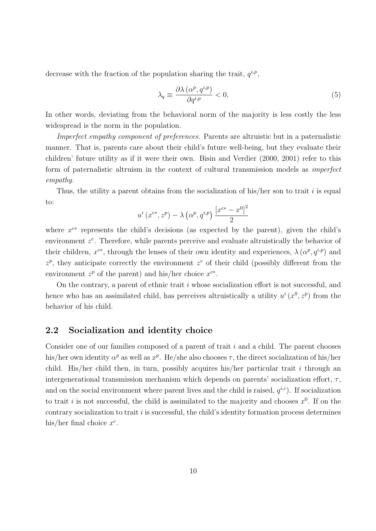decrease with the fraction of the population sharing the trait,  $q^{i,p}$ ,

$$
\lambda_q \equiv \frac{\partial \lambda \left( \alpha^p, q^{i,p} \right)}{\partial q^{i,p}} < 0,\tag{5}
$$

In other words, deviating from the behavioral norm of the majority is less costly the less widespread is the norm in the population.

Imperfect empathy component of preferences. Parents are altruistic but in a paternalistic manner. That is, parents care about their child's future well-being, but they evaluate their children' future utility as if it were their own. Bisin and Verdier (2000, 2001) refer to this form of paternalistic altruism in the context of cultural transmission models as imperfect empathy.

Thus, the utility a parent obtains from the socialization of his/her son to trait  $i$  is equal to:

$$
u^{i}(x^{c*}, z^{p}) - \lambda (\alpha^{p}, q^{i,p}) \frac{[x^{c*} - x^{0}]^{2}}{2}
$$

where  $x^{c*}$  represents the child's decisions (as expected by the parent), given the child's environment  $z^c$ . Therefore, while parents perceive and evaluate altruistically the behavior of their children,  $x^{c*}$ , through the lenses of their own identity and experiences,  $\lambda(\alpha^p, q^{i,p})$  and  $z^p$ , they anticipate correctly the environment  $z^c$  of their child (possibly different from the environment  $z^p$  of the parent) and his/her choice  $x^{c*}$ .

On the contrary, a parent of ethnic trait i whose socialization effort is not successful, and hence who has an assimilated child, has perceives altruistically a utility  $u^{i}(x^{0}, z^{p})$  from the behavior of his child.

#### 2.2 Socialization and identity choice

Consider one of our families composed of a parent of trait i and a child. The parent chooses his/her own identity  $\alpha^p$  as well as  $x^p$ . He/she also chooses  $\tau$ , the direct socialization of his/her child. His/her child then, in turn, possibly acquires his/her particular trait i through an intergenerational transmission mechanism which depends on parents' socialization effort,  $\tau$ , and on the social environment where parent lives and the child is raised,  $q^{i,c}$ ). If socialization to trait *i* is not successful, the child is assimilated to the majority and chooses  $x^0$ . If on the contrary socialization to trait  $i$  is successful, the child's identity formation process determines his/her final choice  $x^c$ .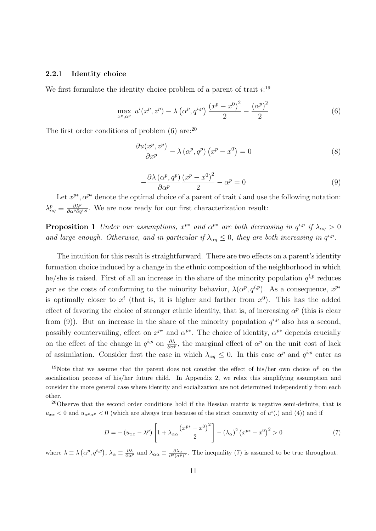#### 2.2.1 Identity choice

We first formulate the identity choice problem of a parent of trait  $i$ <sup>19</sup>

$$
\max_{x^p, \alpha^p} u^i(x^p, z^p) - \lambda \left( \alpha^p, q^{i,p} \right) \frac{(x^p - x^0)^2}{2} - \frac{(\alpha^p)^2}{2} \tag{6}
$$

The first order conditions of problem  $(6)$  are:<sup>20</sup>

$$
\frac{\partial u(x^p, z^p)}{\partial x^p} - \lambda (\alpha^p, q^p) (x^p - x^0) = 0
$$
\n(8)

$$
-\frac{\partial \lambda \left(\alpha^p, q^p\right)}{\partial \alpha^p} \frac{\left(x^p - x^0\right)^2}{2} - \alpha^p = 0\tag{9}
$$

Let  $x^{p*}$ ,  $\alpha^{p*}$  denote the optimal choice of a parent of trait i and use the following notation:  $\lambda_{\alpha q}^p \equiv \frac{\partial \lambda^p}{\partial \alpha^p \partial q^{i,g}}$ . We are now ready for our first characterization result:

**Proposition 1** Under our assumptions,  $x^{p*}$  and  $\alpha^{p*}$  are both decreasing in  $q^{i,p}$  if  $\lambda_{\alpha q} > 0$ and large enough. Otherwise, and in particular if  $\lambda_{\alpha q} \leq 0$ , they are both increasing in  $q^{i,p}$ .

The intuition for this result is straightforward. There are two effects on a parent's identity formation choice induced by a change in the ethnic composition of the neighborhood in which he/she is raised. First of all an increase in the share of the minority population  $q^{i,p}$  reduces per se the costs of conforming to the minority behavior,  $\lambda(\alpha^p, q^{i,p})$ . As a consequence,  $x^{p*}$ is optimally closer to  $x^i$  (that is, it is higher and farther from  $x^0$ ). This has the added effect of favoring the choice of stronger ethnic identity, that is, of increasing  $\alpha^p$  (this is clear from (9)). But an increase in the share of the minority population  $q^{i,p}$  also has a second, possibly countervailing, effect on  $x^{p*}$  and  $\alpha^{p*}$ . The choice of identity,  $\alpha^{p*}$  depends crucially on the effect of the change in  $q^{i,p}$  on  $\frac{\partial \lambda}{\partial \alpha^p}$ , the marginal effect of  $\alpha^p$  on the unit cost of lack of assimilation. Consider first the case in which  $\lambda_{\alpha q} \leq 0$ . In this case  $\alpha^p$  and  $q^{i,p}$  enter as

$$
D = -\left(u_{xx} - \lambda^p\right) \left[1 + \lambda_{\alpha\alpha} \frac{\left(x^{p*} - x^0\right)^2}{2}\right] - \left(\lambda_{\alpha}\right)^2 \left(x^{p*} - x^0\right)^2 > 0\tag{7}
$$

where  $\lambda \equiv \lambda (\alpha^p, q^{i,g})$ ,  $\lambda_\alpha \equiv \frac{\partial \lambda}{\partial \alpha^p}$  and  $\lambda_{\alpha\alpha} \equiv \frac{\partial \lambda_\alpha}{\partial^2 (\alpha^p)^2}$ . The inequality (7) is assumed to be true throughout.

<sup>&</sup>lt;sup>19</sup>Note that we assume that the parent does not consider the effect of his/her own choice  $\alpha^p$  on the socialization process of his/her future child. In Appendix 2, we relax this simplifying assumption and consider the more general case where identity and socialization are not determined independently from each other.

<sup>&</sup>lt;sup>20</sup>Observe that the second order conditions hold if the Hessian matrix is negative semi-definite, that is  $u_{xx}$  < 0 and  $u_{\alpha^p\alpha^p}$  < 0 (which are always true because of the strict concavity of  $u^i(.)$  and (4)) and if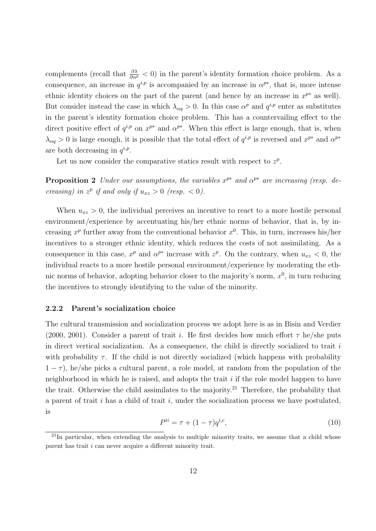complements (recall that  $\frac{\partial \lambda}{\partial \alpha^p} < 0$ ) in the parent's identity formation choice problem. As a consequence, an increase in  $q^{i,p}$  is accompanied by an increase in  $\alpha^{p*}$ , that is, more intense ethnic identity choices on the part of the parent (and hence by an increase in  $x^{p*}$  as well). But consider instead the case in which  $\lambda_{\alpha q} > 0$ . In this case  $\alpha^p$  and  $q^{i,p}$  enter as substitutes in the parent's identity formation choice problem. This has a countervailing effect to the direct positive effect of  $q^{i,p}$  on  $x^{p*}$  and  $\alpha^{p*}$ . When this effect is large enough, that is, when  $\lambda_{\alpha q} > 0$  is large enough, it is possible that the total effect of  $q^{i,p}$  is reversed and  $x^{p*}$  and  $\alpha^{p*}$ are both decreasing in  $q^{i,p}$ .

Let us now consider the comparative statics result with respect to  $z^p$ .

**Proposition 2** Under our assumptions, the variables  $x^{p*}$  and  $\alpha^{p*}$  are increasing (resp. decreasing) in  $z^p$  if and only if  $u_{xz} > 0$  (resp.  $< 0$ ).

When  $u_{xz} > 0$ , the individual perceives an incentive to react to a more hostile personal environment/experience by accentuating his/her ethnic norms of behavior, that is, by increasing  $x^p$  further away from the conventional behavior  $x^0$ . This, in turn, increases his/her incentives to a stronger ethnic identity, which reduces the costs of not assimilating. As a consequence in this case,  $x^p$  and  $\alpha^{p*}$  increase with  $z^p$ . On the contrary, when  $u_{xz} < 0$ , the individual reacts to a more hostile personal environment/experience by moderating the ethnic norms of behavior, adopting behavior closer to the majority's norm,  $x^0$ , in turn reducing the incentives to strongly identifying to the value of the minority.

#### 2.2.2 Parent's socialization choice

The cultural transmission and socialization process we adopt here is as in Bisin and Verdier (2000, 2001). Consider a parent of trait i. He first decides how much effort  $\tau$  he/she puts in direct vertical socialization. As a consequence, the child is directly socialized to trait  $i$ with probability  $\tau$ . If the child is not directly socialized (which happens with probability  $1 - \tau$ ), he/she picks a cultural parent, a role model, at random from the population of the neighborhood in which he is raised, and adopts the trait  $i$  if the role model happen to have the trait. Otherwise the child assimilates to the majority.<sup>21</sup> Therefore, the probability that a parent of trait  $i$  has a child of trait  $i$ , under the socialization process we have postulated, is

$$
P^{ii} = \tau + (1 - \tau)q^{i,c},\tag{10}
$$

 $^{21}$ In particular, when extending the analysis to multiple minority traits, we assume that a child whose parent has trait i can never acquire a different minority trait.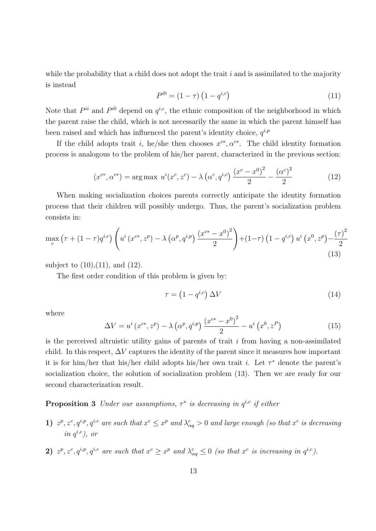while the probability that a child does not adopt the trait  $i$  and is assimilated to the majority is instead

$$
P^{i0} = (1 - \tau) \left( 1 - q^{i,c} \right) \tag{11}
$$

Note that  $P^{ii}$  and  $P^{i0}$  depend on  $q^{i,c}$ , the ethnic composition of the neighborhood in which the parent raise the child, which is not necessarily the same in which the parent himself has been raised and which has influenced the parent's identity choice,  $q^{i,p}$ 

If the child adopts trait i, he/she then chooses  $x^{c*}, \alpha^{c*}$ . The child identity formation process is analogous to the problem of his/her parent, characterized in the previous section:

$$
(x^{c*}, \alpha^{c*}) = \arg \max \ u^i(x^c, z^c) - \lambda \left(\alpha^c, q^{i,c}\right) \frac{(x^c - x^0)^2}{2} - \frac{(\alpha^c)^2}{2} \tag{12}
$$

When making socialization choices parents correctly anticipate the identity formation process that their children will possibly undergo. Thus, the parent's socialization problem consists in:

$$
\max_{\tau} \left( \tau + (1 - \tau)q^{i,c} \right) \left( u^i \left( x^{c*}, z^p \right) - \lambda \left( \alpha^p, q^{i,p} \right) \frac{\left( x^{c*} - x^0 \right)^2}{2} \right) + (1 - \tau) \left( 1 - q^{i,c} \right) u^i \left( x^0, z^p \right) - \frac{\left( \tau \right)^2}{2} \tag{13}
$$

subject to  $(10), (11),$  and  $(12).$ 

The first order condition of this problem is given by:

$$
\tau = \left(1 - q^{i,c}\right) \Delta V \tag{14}
$$

where

$$
\Delta V = u^{i} (x^{c*}, z^{p}) - \lambda (\alpha^{p}, q^{i,p}) \frac{(x^{c*} - x^{0})^{2}}{2} - u^{i} (x^{0}, z^{P})
$$
\n(15)

is the perceived altruistic utility gains of parents of trait  $i$  from having a non-assimilated child. In this respect,  $\Delta V$  captures the identity of the parent since it measures how important it is for him/her that his/her child adopts his/her own trait *i*. Let  $\tau^*$  denote the parent's socialization choice, the solution of socialization problem (13). Then we are ready for our second characterization result.

**Proposition 3** Under our assumptions,  $\tau^*$  is decreasing in  $q^{i,c}$  if either

- 1)  $z^p, z^c, q^{i,p}, q^{i,c}$  are such that  $x^c \leq x^p$  and  $\lambda_{\alpha q}^c > 0$  and large enough (so that  $x^c$  is decreasing in  $q^{i,c}$ ), or
- 2)  $z^p, z^c, q^{i,p}, q^{i,c}$  are such that  $x^c \geq x^p$  and  $\lambda_{\alpha q}^c \leq 0$  (so that  $x^c$  is increasing in  $q^{i,c}$ ).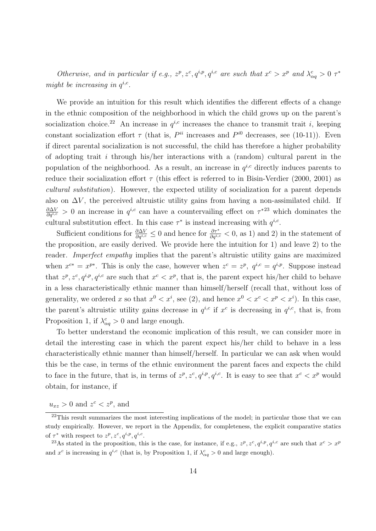Otherwise, and in particular if e.g.,  $z^p$ ,  $z^c$ ,  $q^{i,p}$ ,  $q^{i,c}$  are such that  $x^c > x^p$  and  $\lambda_{\alpha q}^c > 0$   $\tau^*$ might be increasing in  $q^{i,c}$ .

We provide an intuition for this result which identifies the different effects of a change in the ethnic composition of the neighborhood in which the child grows up on the parent's socialization choice.<sup>22</sup> An increase in  $q^{i,c}$  increases the chance to transmit trait i, keeping constant socialization effort  $\tau$  (that is,  $P^{ii}$  increases and  $P^{i0}$  decreases, see (10-11)). Even if direct parental socialization is not successful, the child has therefore a higher probability of adopting trait i through his/her interactions with a (random) cultural parent in the population of the neighborhood. As a result, an increase in  $q^{i,c}$  directly induces parents to reduce their socialization effort  $\tau$  (this effect is referred to in Bisin-Verdier (2000, 2001) as cultural substitution). However, the expected utility of socialization for a parent depends also on  $\Delta V$ , the perceived altruistic utility gains from having a non-assimilated child. If  $\frac{\partial \Delta V}{\partial q^{i,c}} > 0$  an increase in  $q^{i,c}$  can have a countervailing effect on  $\tau^{*23}$  which dominates the cultural substitution effect. In this case  $\tau^*$  is instead increasing with  $q^{i,c}$ .

Sufficient conditions for  $\frac{\partial \Delta V}{\partial q^{i,c}} \leq 0$  and hence for  $\frac{\partial \tau^*}{\partial q^{i,c}} < 0$ , as 1) and 2) in the statement of the proposition, are easily derived. We provide here the intuition for 1) and leave 2) to the reader. *Imperfect empathy* implies that the parent's altruistic utility gains are maximized when  $x^{c*} = x^{p*}$ . This is only the case, however when  $z^c = z^p$ ,  $q^{i,c} = q^{i,p}$ . Suppose instead that  $z^p, z^c, q^{i,p}, q^{i,c}$  are such that  $x^c < x^p$ , that is, the parent expect his/her child to behave in a less characteristically ethnic manner than himself/herself (recall that, without loss of generality, we ordered x so that  $x^0 < x^i$ , see (2), and hence  $x^0 < x^c < x^p < x^i$ ). In this case, the parent's altruistic utility gains decrease in  $q^{i,c}$  if  $x^c$  is decreasing in  $q^{i,c}$ , that is, from Proposition 1, if  $\lambda_{\alpha q}^c > 0$  and large enough.

To better understand the economic implication of this result, we can consider more in detail the interesting case in which the parent expect his/her child to behave in a less characteristically ethnic manner than himself/herself. In particular we can ask when would this be the case, in terms of the ethnic environment the parent faces and expects the child to face in the future, that is, in terms of  $z^p, z^c, q^{i,p}, q^{i,c}$ . It is easy to see that  $x^c < x^p$  would obtain, for instance, if

 $u_{xz} > 0$  and  $z^c < z^p$ , and

 $22$ This result summarizes the most interesting implications of the model; in particular those that we can study empirically. However, we report in the Appendix, for completeness, the explicit comparative statics of  $\tau^*$  with respect to  $z^p, z^c, q^{i,p}, q^{i,c}$ .

<sup>&</sup>lt;sup>23</sup>As stated in the proposition, this is the case, for instance, if e.g.,  $z^p$ ,  $z^c$ ,  $q^{i,p}$ ,  $q^{i,c}$  are such that  $x^c > x^p$ and  $x^c$  is increasing in  $q^{i,c}$  (that is, by Proposition 1, if  $\lambda^c_{\alpha q} > 0$  and large enough).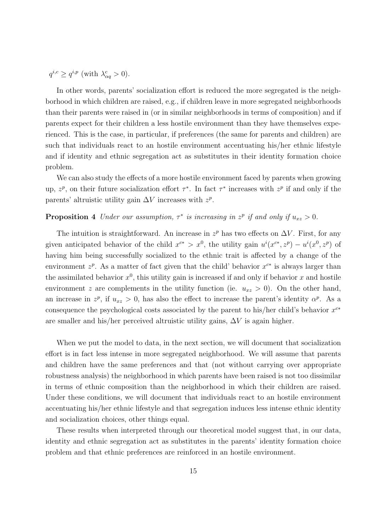$q^{i,c} \geq q^{i,p}$  (with  $\lambda_{\alpha q}^c > 0$ ).

In other words, parents' socialization effort is reduced the more segregated is the neighborhood in which children are raised, e.g., if children leave in more segregated neighborhoods than their parents were raised in (or in similar neighborhoods in terms of composition) and if parents expect for their children a less hostile environment than they have themselves experienced. This is the case, in particular, if preferences (the same for parents and children) are such that individuals react to an hostile environment accentuating his/her ethnic lifestyle and if identity and ethnic segregation act as substitutes in their identity formation choice problem.

We can also study the effects of a more hostile environment faced by parents when growing up,  $z^p$ , on their future socialization effort  $\tau^*$ . In fact  $\tau^*$  increases with  $z^p$  if and only if the parents' altruistic utility gain  $\Delta V$  increases with  $z^p$ .

#### **Proposition 4** Under our assumption,  $\tau^*$  is increasing in  $z^p$  if and only if  $u_{xz} > 0$ .

The intuition is straightforward. An increase in  $z^p$  has two effects on  $\Delta V$ . First, for any given anticipated behavior of the child  $x^{c*} > x^0$ , the utility gain  $u^i(x^{c*}, z^p) - u^i(x^0, z^p)$  of having him being successfully socialized to the ethnic trait is affected by a change of the environment  $z^p$ . As a matter of fact given that the child' behavior  $x^{c*}$  is always larger than the assimilated behavior  $x^0$ , this utility gain is increased if and only if behavior x and hostile environment z are complements in the utility function (ie.  $u_{xz} > 0$ ). On the other hand, an increase in  $z^p$ , if  $u_{xz} > 0$ , has also the effect to increase the parent's identity  $\alpha^p$ . As a consequence the psychological costs associated by the parent to his/her child's behavior  $x^{c*}$ are smaller and his/her perceived altruistic utility gains,  $\Delta V$  is again higher.

When we put the model to data, in the next section, we will document that socialization effort is in fact less intense in more segregated neighborhood. We will assume that parents and children have the same preferences and that (not without carrying over appropriate robustness analysis) the neighborhood in which parents have been raised is not too dissimilar in terms of ethnic composition than the neighborhood in which their children are raised. Under these conditions, we will document that individuals react to an hostile environment accentuating his/her ethnic lifestyle and that segregation induces less intense ethnic identity and socialization choices, other things equal.

These results when interpreted through our theoretical model suggest that, in our data, identity and ethnic segregation act as substitutes in the parents' identity formation choice problem and that ethnic preferences are reinforced in an hostile environment.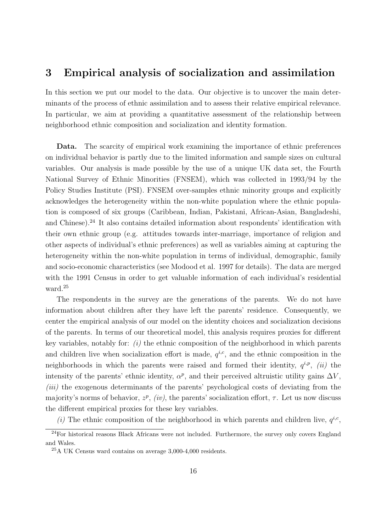### 3 Empirical analysis of socialization and assimilation

In this section we put our model to the data. Our objective is to uncover the main determinants of the process of ethnic assimilation and to assess their relative empirical relevance. In particular, we aim at providing a quantitative assessment of the relationship between neighborhood ethnic composition and socialization and identity formation.

Data. The scarcity of empirical work examining the importance of ethnic preferences on individual behavior is partly due to the limited information and sample sizes on cultural variables. Our analysis is made possible by the use of a unique UK data set, the Fourth National Survey of Ethnic Minorities (FNSEM), which was collected in 1993/94 by the Policy Studies Institute (PSI). FNSEM over-samples ethnic minority groups and explicitly acknowledges the heterogeneity within the non-white population where the ethnic population is composed of six groups (Caribbean, Indian, Pakistani, African-Asian, Bangladeshi, and Chinese).<sup>24</sup> It also contains detailed information about respondents' identification with their own ethnic group (e.g. attitudes towards inter-marriage, importance of religion and other aspects of individual's ethnic preferences) as well as variables aiming at capturing the heterogeneity within the non-white population in terms of individual, demographic, family and socio-economic characteristics (see Modood et al. 1997 for details). The data are merged with the 1991 Census in order to get valuable information of each individual's residential ward.<sup>25</sup>

The respondents in the survey are the generations of the parents. We do not have information about children after they have left the parents' residence. Consequently, we center the empirical analysis of our model on the identity choices and socialization decisions of the parents. In terms of our theoretical model, this analysis requires proxies for different key variables, notably for:  $(i)$  the ethnic composition of the neighborhood in which parents and children live when socialization effort is made,  $q^{i,c}$ , and the ethnic composition in the neighborhoods in which the parents were raised and formed their identity,  $q^{i,p}$ , (ii) the intensity of the parents' ethnic identity,  $\alpha^p$ , and their perceived altruistic utility gains  $\Delta V$ , (*iii*) the exogenous determinants of the parents' psychological costs of deviating from the majority's norms of behavior,  $z^p$ , (iv), the parents' socialization effort,  $\tau$ . Let us now discuss the different empirical proxies for these key variables.

(i) The ethnic composition of the neighborhood in which parents and children live,  $q^{i,c}$ ,

 $\frac{24}{24}$ For historical reasons Black Africans were not included. Furthermore, the survey only covers England and Wales.

<sup>25</sup>A UK Census ward contains on average 3,000-4,000 residents.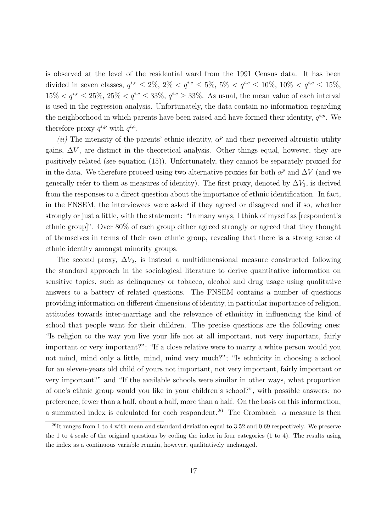is observed at the level of the residential ward from the 1991 Census data. It has been divided in seven classes,  $q^{i,c} \le 2\%$ ,  $2\% < q^{i,c} \le 5\%$ ,  $5\% < q^{i,c} \le 10\%$ ,  $10\% < q^{i,c} \le 15\%$ ,  $15\% < q^{i,c} \leq 25\%$ ,  $25\% < q^{i,c} \leq 33\%$ ,  $q^{i,c} \geq 33\%$ . As usual, the mean value of each interval is used in the regression analysis. Unfortunately, the data contain no information regarding the neighborhood in which parents have been raised and have formed their identity,  $q^{i,p}$ . We therefore proxy  $q^{i,p}$  with  $q^{i,c}$ .

(ii) The intensity of the parents' ethnic identity,  $\alpha^p$  and their perceived altruistic utility gains,  $\Delta V$ , are distinct in the theoretical analysis. Other things equal, however, they are positively related (see equation (15)). Unfortunately, they cannot be separately proxied for in the data. We therefore proceed using two alternative proxies for both  $\alpha^p$  and  $\Delta V$  (and we generally refer to them as measures of identity). The first proxy, denoted by  $\Delta V_1$ , is derived from the responses to a direct question about the importance of ethnic identification. In fact, in the FNSEM, the interviewees were asked if they agreed or disagreed and if so, whether strongly or just a little, with the statement: "In many ways, I think of myself as [respondent's ethnic group]". Over 80% of each group either agreed strongly or agreed that they thought of themselves in terms of their own ethnic group, revealing that there is a strong sense of ethnic identity amongst minority groups.

The second proxy,  $\Delta V_2$ , is instead a multidimensional measure constructed following the standard approach in the sociological literature to derive quantitative information on sensitive topics, such as delinquency or tobacco, alcohol and drug usage using qualitative answers to a battery of related questions. The FNSEM contains a number of questions providing information on different dimensions of identity, in particular importance of religion, attitudes towards inter-marriage and the relevance of ethnicity in influencing the kind of school that people want for their children. The precise questions are the following ones: "Is religion to the way you live your life not at all important, not very important, fairly important or very important?"; "If a close relative were to marry a white person would you not mind, mind only a little, mind, mind very much?"; "Is ethnicity in choosing a school for an eleven-years old child of yours not important, not very important, fairly important or very important?" and "If the available schools were similar in other ways, what proportion of one's ethnic group would you like in your children's school?", with possible answers: no preference, fewer than a half, about a half, more than a half. On the basis on this information, a summated index is calculated for each respondent.<sup>26</sup> The Crombach– $\alpha$  measure is then

 $^{26}$ It ranges from 1 to 4 with mean and standard deviation equal to 3.52 and 0.69 respectively. We preserve the 1 to 4 scale of the original questions by coding the index in four categories (1 to 4). The results using the index as a continuous variable remain, however, qualitatively unchanged.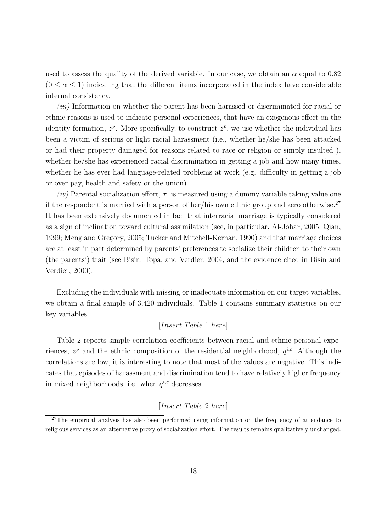used to assess the quality of the derived variable. In our case, we obtain an  $\alpha$  equal to 0.82  $(0 \le \alpha \le 1)$  indicating that the different items incorporated in the index have considerable internal consistency.

*(iii)* Information on whether the parent has been harassed or discriminated for racial or ethnic reasons is used to indicate personal experiences, that have an exogenous effect on the identity formation,  $z^p$ . More specifically, to construct  $z^p$ , we use whether the individual has been a victim of serious or light racial harassment (i.e., whether he/she has been attacked or had their property damaged for reasons related to race or religion or simply insulted ), whether he/she has experienced racial discrimination in getting a job and how many times, whether he has ever had language-related problems at work (e.g. difficulty in getting a job or over pay, health and safety or the union).

(iv) Parental socialization effort,  $\tau$ , is measured using a dummy variable taking value one if the respondent is married with a person of her/his own ethnic group and zero otherwise.<sup>27</sup> It has been extensively documented in fact that interracial marriage is typically considered as a sign of inclination toward cultural assimilation (see, in particular, Al-Johar, 2005; Qian, 1999; Meng and Gregory, 2005; Tucker and Mitchell-Kernan, 1990) and that marriage choices are at least in part determined by parents' preferences to socialize their children to their own (the parents') trait (see Bisin, Topa, and Verdier, 2004, and the evidence cited in Bisin and Verdier, 2000).

Excluding the individuals with missing or inadequate information on our target variables, we obtain a final sample of 3,420 individuals. Table 1 contains summary statistics on our key variables.

#### [Insert T able 1 here]

Table 2 reports simple correlation coefficients between racial and ethnic personal experiences,  $z^p$  and the ethnic composition of the residential neighborhood,  $q^{i,c}$ . Although the correlations are low, it is interesting to note that most of the values are negative. This indicates that episodes of harassment and discrimination tend to have relatively higher frequency in mixed neighborhoods, i.e. when  $q^{i,c}$  decreases.

#### [Insert Table 2 here]

<sup>&</sup>lt;sup>27</sup>The empirical analysis has also been performed using information on the frequency of attendance to religious services as an alternative proxy of socialization effort. The results remains qualitatively unchanged.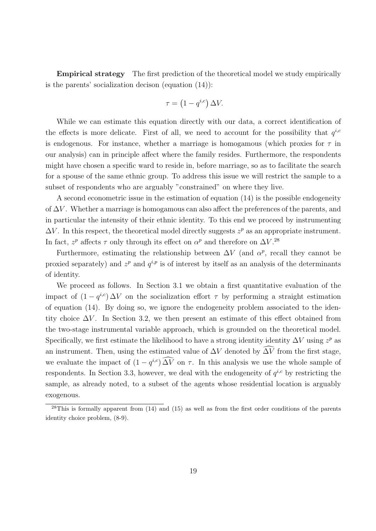Empirical strategy The first prediction of the theoretical model we study empirically is the parents' socialization decison (equation (14)):

$$
\tau = \left(1 - q^{i,c}\right) \Delta V.
$$

While we can estimate this equation directly with our data, a correct identification of the effects is more delicate. First of all, we need to account for the possibility that  $q^{i,c}$ is endogenous. For instance, whether a marriage is homogamous (which proxies for  $\tau$  in our analysis) can in principle affect where the family resides. Furthermore, the respondents might have chosen a specific ward to reside in, before marriage, so as to facilitate the search for a spouse of the same ethnic group. To address this issue we will restrict the sample to a subset of respondents who are arguably "constrained" on where they live.

A second econometric issue in the estimation of equation (14) is the possible endogeneity of  $\Delta V$ . Whether a marriage is homogamous can also affect the preferences of the parents, and in particular the intensity of their ethnic identity. To this end we proceed by instrumenting  $\Delta V$ . In this respect, the theoretical model directly suggests  $z^p$  as an appropriate instrument. In fact,  $z^p$  affects  $\tau$  only through its effect on  $\alpha^p$  and therefore on  $\Delta V$ .<sup>28</sup>

Furthermore, estimating the relationship between  $\Delta V$  (and  $\alpha^p$ , recall they cannot be proxied separately) and  $z^p$  and  $q^{i,p}$  is of interest by itself as an analysis of the determinants of identity.

We proceed as follows. In Section 3.1 we obtain a first quantitative evaluation of the impact of  $(1 - q^{i,c}) \Delta V$  on the socialization effort  $\tau$  by performing a straight estimation of equation (14). By doing so, we ignore the endogeneity problem associated to the identity choice  $\Delta V$ . In Section 3.2, we then present an estimate of this effect obtained from the two-stage instrumental variable approach, which is grounded on the theoretical model. Specifically, we first estimate the likelihood to have a strong identity identity  $\Delta V$  using  $z^p$  as an instrument. Then, using the estimated value of  $\Delta V$  denoted by  $\Delta V$  from the first stage, we evaluate the impact of  $(1 - q^{i,c})\,\Delta V$  on  $\tau$ . In this analysis we use the whole sample of respondents. In Section 3.3, however, we deal with the endogeneity of  $q^{i,c}$  by restricting the sample, as already noted, to a subset of the agents whose residential location is arguably exogenous.

 $^{28}$ This is formally apparent from (14) and (15) as well as from the first order conditions of the parents identity choice problem, (8-9).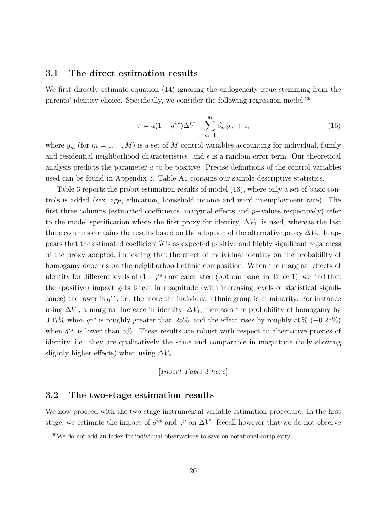#### 3.1 The direct estimation results

We first directly estimate equation (14) ignoring the endogeneity issue stemming from the parents' identity choice. Specifically, we consider the following regression model:<sup>29</sup>

$$
\tau = a(1 - q^{i,c})\Delta V + \sum_{m=1}^{M} \beta_m y_m + \epsilon,\tag{16}
$$

where  $y_m$  (for  $m = 1, ..., M$ ) is a set of M control variables accounting for individual, family and residential neighborhood characteristics, and  $\epsilon$  is a random error term. Our theoretical analysis predicts the parameter a to be positive. Precise definitions of the control variables used can be found in Appendix 3. Table A1 contains our sample descriptive statistics.

Table 3 reports the probit estimation results of model (16), where only a set of basic controls is added (sex, age, education, household income and ward unemployment rate). The first three columns (estimated coefficients, marginal effects and p−values respectively) refer to the model specification where the first proxy for identity,  $\Delta V_1$ , is used, whereas the last three columns contains the results based on the adoption of the alternative proxy  $\Delta V_2$ . It appears that the estimated coefficient  $\hat{a}$  is as expected positive and highly significant regardless of the proxy adopted, indicating that the effect of individual identity on the probability of homogamy depends on the neighborhood ethnic composition. When the marginal effects of identity for different levels of  $(1-q^{i,c})$  are calculated (bottom panel in Table 1), we find that the (positive) impact gets larger in magnitude (with increasing levels of statistical significance) the lower is  $q^{i,c}$ , i.e. the more the individual ethnic group is in minority. For instance using  $\Delta V_1$ , a marginal increase in identity,  $\Delta V_1$ , increases the probability of homogamy by 0.17% when  $q^{i,c}$  is roughly greater than 25%, and the effect rises by roughly 50% (+0.25%) when  $q^{i,c}$  is lower than 5%. These results are robust with respect to alternative proxies of identity, i.e. they are qualitatively the same and comparable in magnitude (only showing slightly higher effects) when using  $\Delta V_2$ .

$$
[Insert\ Table\ 3\ here]
$$

#### 3.2 The two-stage estimation results

We now proceed with the two-stage instrumental variable estimation procedure. In the first stage, we estimate the impact of  $q^{i,p}$  and  $z^p$  on  $\Delta V$ . Recall however that we do not observe

 $29$ We do not add an index for individual observations to save on notational complexity.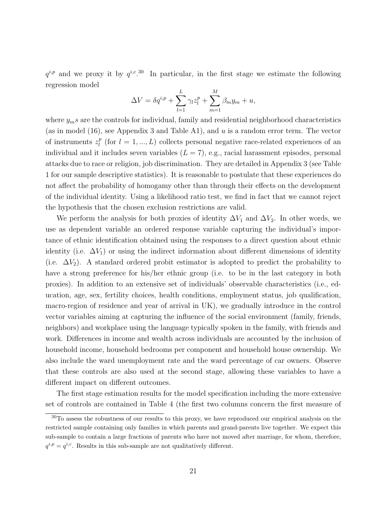$q^{i,p}$  and we proxy it by  $q^{i,c}$ .<sup>30</sup> In particular, in the first stage we estimate the following regression model

$$
\Delta V = \delta q^{i,p} + \sum_{l=1}^{L} \gamma_l z_l^p + \sum_{m=1}^{M} \beta_m y_m + u,
$$

where  $y_m s$  are the controls for individual, family and residential neighborhood characteristics (as in model (16), see Appendix 3 and Table A1), and u is a random error term. The vector of instruments  $z_l^p$  $\ell_l^p$  (for  $l = 1, ..., L$ ) collects personal negative race-related experiences of an individual and it includes seven variables  $(L = 7)$ , e.g., racial harassment episodes, personal attacks due to race or religion, job discrimination. They are detailed in Appendix 3 (see Table 1 for our sample descriptive statistics). It is reasonable to postulate that these experiences do not affect the probability of homogamy other than through their effects on the development of the individual identity. Using a likelihood ratio test, we find in fact that we cannot reject the hypothesis that the chosen exclusion restrictions are valid.

We perform the analysis for both proxies of identity  $\Delta V_1$  and  $\Delta V_2$ . In other words, we use as dependent variable an ordered response variable capturing the individual's importance of ethnic identification obtained using the responses to a direct question about ethnic identity (i.e.  $\Delta V_1$ ) or using the indirect information about different dimensions of identity (i.e.  $\Delta V_2$ ). A standard ordered probit estimator is adopted to predict the probability to have a strong preference for his/her ethnic group (i.e. to be in the last category in both proxies). In addition to an extensive set of individuals' observable characteristics (i.e., education, age, sex, fertility choices, health conditions, employment status, job qualification, macro-region of residence and year of arrival in UK), we gradually introduce in the control vector variables aiming at capturing the influence of the social environment (family, friends, neighbors) and workplace using the language typically spoken in the family, with friends and work. Differences in income and wealth across individuals are accounted by the inclusion of household income, household bedrooms per component and household house ownership. We also include the ward unemployment rate and the ward percentage of car owners. Observe that these controls are also used at the second stage, allowing these variables to have a different impact on different outcomes.

The first stage estimation results for the model specification including the more extensive set of controls are contained in Table 4 (the first two columns concern the first measure of

<sup>30</sup>To assess the robustness of our results to this proxy, we have reproduced our empirical analysis on the restricted sample containing only families in which parents and grand-parents live together. We expect this sub-sample to contain a large fractions of parents who have not moved after marriage, for whom, therefore,  $q^{i,p} = q^{i,c}$ . Results in this sub-sample are not qualitatively different.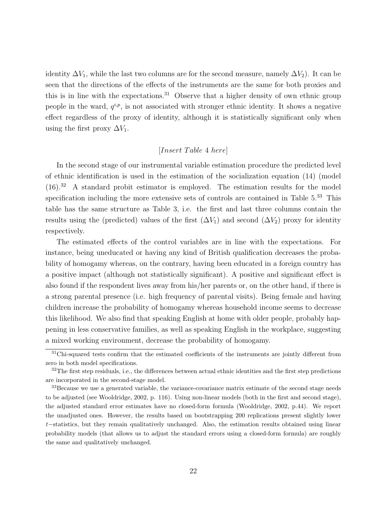identity  $\Delta V_1$ , while the last two columns are for the second measure, namely  $\Delta V_2$ ). It can be seen that the directions of the effects of the instruments are the same for both proxies and this is in line with the expectations.<sup>31</sup> Observe that a higher density of own ethnic group people in the ward,  $q^{i,p}$ , is not associated with stronger ethnic identity. It shows a negative effect regardless of the proxy of identity, although it is statistically significant only when using the first proxy  $\Delta V_1$ .

#### $[Insert\ Table\ 4\ here]$

In the second stage of our instrumental variable estimation procedure the predicted level of ethnic identification is used in the estimation of the socialization equation (14) (model  $(16).<sup>32</sup>$  A standard probit estimator is employed. The estimation results for the model specification including the more extensive sets of controls are contained in Table  $5^{33}$  This table has the same structure as Table 3, i.e. the first and last three columns contain the results using the (predicted) values of the first  $(\Delta V_1)$  and second  $(\Delta V_2)$  proxy for identity respectively.

The estimated effects of the control variables are in line with the expectations. For instance, being uneducated or having any kind of British qualification decreases the probability of homogamy whereas, on the contrary, having been educated in a foreign country has a positive impact (although not statistically significant). A positive and significant effect is also found if the respondent lives away from his/her parents or, on the other hand, if there is a strong parental presence (i.e. high frequency of parental visits). Being female and having children increase the probability of homogamy whereas household income seems to decrease this likelihood. We also find that speaking English at home with older people, probably happening in less conservative families, as well as speaking English in the workplace, suggesting a mixed working environment, decrease the probability of homogamy.

<sup>&</sup>lt;sup>31</sup>Chi-squared tests confirm that the estimated coefficients of the instruments are jointly different from zero in both model specifications.

 $32$ The first step residuals, i.e., the differences between actual ethnic identities and the first step predictions are incorporated in the second-stage model.

<sup>&</sup>lt;sup>33</sup>Because we use a generated variable, the variance-covariance matrix estimate of the second stage needs to be adjusted (see Wooldridge, 2002, p. 116). Using non-linear models (both in the first and second stage), the adjusted standard error estimates have no closed-form formula (Wooldridge, 2002, p.44). We report the unadjusted ones. However, the results based on bootstrapping 200 replications present slightly lower t−statistics, but they remain qualitatively unchanged. Also, the estimation results obtained using linear probability models (that allows us to adjust the standard errors using a closed-form formula) are roughly the same and qualitatively unchanged.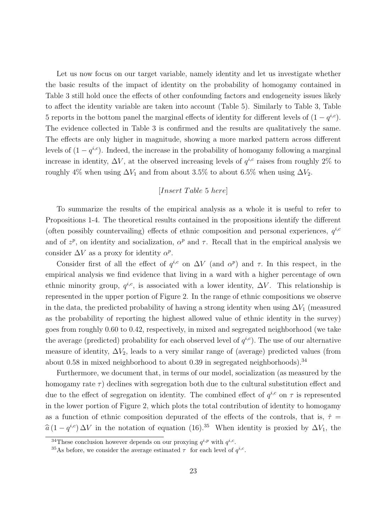Let us now focus on our target variable, namely identity and let us investigate whether the basic results of the impact of identity on the probability of homogamy contained in Table 3 still hold once the effects of other confounding factors and endogeneity issues likely to affect the identity variable are taken into account (Table 5). Similarly to Table 3, Table 5 reports in the bottom panel the marginal effects of identity for different levels of  $(1 - q^{i,c})$ . The evidence collected in Table 3 is confirmed and the results are qualitatively the same. The effects are only higher in magnitude, showing a more marked pattern across different levels of  $(1 - q^{i,c})$ . Indeed, the increase in the probability of homogamy following a marginal increase in identity,  $\Delta V$ , at the observed increasing levels of  $q^{i,c}$  raises from roughly 2% to roughly 4% when using  $\Delta V_1$  and from about 3.5% to about 6.5% when using  $\Delta V_2$ .

#### $[Insert\ Table\ 5\ here]$

To summarize the results of the empirical analysis as a whole it is useful to refer to Propositions 1-4. The theoretical results contained in the propositions identify the different (often possibly countervailing) effects of ethnic composition and personal experiences,  $q^{i,c}$ and of  $z^p$ , on identity and socialization,  $\alpha^p$  and  $\tau$ . Recall that in the empirical analysis we consider  $\Delta V$  as a proxy for identity  $\alpha^p$ .

Consider first of all the effect of  $q^{i,c}$  on  $\Delta V$  (and  $\alpha^p$ ) and  $\tau$ . In this respect, in the empirical analysis we find evidence that living in a ward with a higher percentage of own ethnic minority group,  $q^{i,c}$ , is associated with a lower identity,  $\Delta V$ . This relationship is represented in the upper portion of Figure 2. In the range of ethnic compositions we observe in the data, the predicted probability of having a strong identity when using  $\Delta V_1$  (measured as the probability of reporting the highest allowed value of ethnic identity in the survey) goes from roughly 0.60 to 0.42, respectively, in mixed and segregated neighborhood (we take the average (predicted) probability for each observed level of  $q^{i,c}$ ). The use of our alternative measure of identity,  $\Delta V_2$ , leads to a very similar range of (average) predicted values (from about 0.58 in mixed neighborhood to about 0.39 in segregated neighborhoods).<sup>34</sup>

Furthermore, we document that, in terms of our model, socialization (as measured by the homogamy rate  $\tau$ ) declines with segregation both due to the cultural substitution effect and due to the effect of segregation on identity. The combined effect of  $q^{i,c}$  on  $\tau$  is represented in the lower portion of Figure 2, which plots the total contribution of identity to homogamy as a function of ethnic composition depurated of the effects of the controls, that is,  $\hat{\tau} =$  $\hat{a} (1 - q^{i,c}) \Delta V$  in the notation of equation (16).<sup>35</sup> When identity is proxied by  $\Delta V_1$ , the

<sup>&</sup>lt;sup>34</sup>These conclusion however depends on our proxying  $q^{i,p}$  with  $q^{i,c}$ .

<sup>&</sup>lt;sup>35</sup>As before, we consider the average estimated  $\tau$  for each level of  $q^{i,c}$ .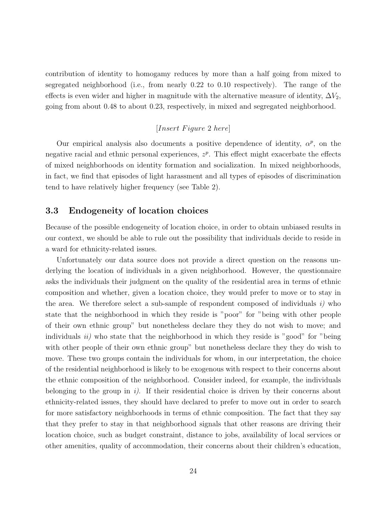contribution of identity to homogamy reduces by more than a half going from mixed to segregated neighborhood (i.e., from nearly 0.22 to 0.10 respectively). The range of the effects is even wider and higher in magnitude with the alternative measure of identity,  $\Delta V_2$ , going from about 0.48 to about 0.23, respectively, in mixed and segregated neighborhood.

#### $[Insert \, Figure \, 2 \, here]$

Our empirical analysis also documents a positive dependence of identity,  $\alpha^p$ , on the negative racial and ethnic personal experiences,  $z^p$ . This effect might exacerbate the effects of mixed neighborhoods on identity formation and socialization. In mixed neighborhoods, in fact, we find that episodes of light harassment and all types of episodes of discrimination tend to have relatively higher frequency (see Table 2).

#### 3.3 Endogeneity of location choices

Because of the possible endogeneity of location choice, in order to obtain unbiased results in our context, we should be able to rule out the possibility that individuals decide to reside in a ward for ethnicity-related issues.

Unfortunately our data source does not provide a direct question on the reasons underlying the location of individuals in a given neighborhood. However, the questionnaire asks the individuals their judgment on the quality of the residential area in terms of ethnic composition and whether, given a location choice, they would prefer to move or to stay in the area. We therefore select a sub-sample of respondent composed of individuals  $i)$  who state that the neighborhood in which they reside is "poor" for "being with other people of their own ethnic group" but nonetheless declare they they do not wish to move; and individuals  $ii)$  who state that the neighborhood in which they reside is "good" for "being with other people of their own ethnic group" but nonetheless declare they they do wish to move. These two groups contain the individuals for whom, in our interpretation, the choice of the residential neighborhood is likely to be exogenous with respect to their concerns about the ethnic composition of the neighborhood. Consider indeed, for example, the individuals belonging to the group in  $i$ ). If their residential choice is driven by their concerns about ethnicity-related issues, they should have declared to prefer to move out in order to search for more satisfactory neighborhoods in terms of ethnic composition. The fact that they say that they prefer to stay in that neighborhood signals that other reasons are driving their location choice, such as budget constraint, distance to jobs, availability of local services or other amenities, quality of accommodation, their concerns about their children's education,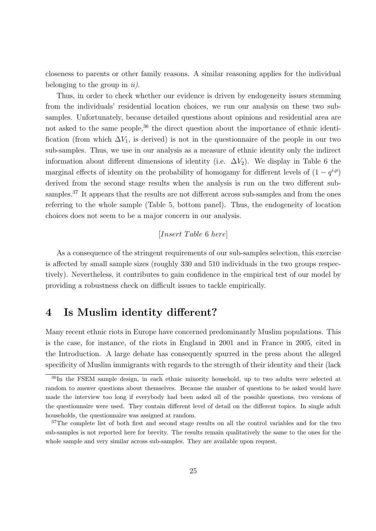closeness to parents or other family reasons. A similar reasoning applies for the individual belonging to the group in  $ii$ ).

Thus, in order to check whether our evidence is driven by endogeneity issues stemming from the individuals' residential location choices, we run our analysis on these two subsamples. Unfortunately, because detailed questions about opinions and residential area are not asked to the same people,  $36$  the direct question about the importance of ethnic identification (from which  $\Delta V_1$ , is derived) is not in the questionnaire of the people in our two sub-samples. Thus, we use in our analysis as a measure of ethnic identity only the indirect information about different dimensions of identity (i.e.  $\Delta V_2$ ). We display in Table 6 the marginal effects of identity on the probability of homogamy for different levels of  $(1 - q^{i,p})$ derived from the second stage results when the analysis is run on the two different subsamples.<sup>37</sup> It appears that the results are not different across sub-samples and from the ones referring to the whole sample (Table 5, bottom panel). Thus, the endogeneity of location choices does not seem to be a major concern in our analysis.

#### [Insert Table 6 here]

As a consequence of the stringent requirements of our sub-samples selection, this exercise is affected by small sample sizes (roughly 330 and 510 individuals in the two groups respectively). Nevertheless, it contributes to gain confidence in the empirical test of our model by providing a robustness check on difficult issues to tackle empirically.

# 4 Is Muslim identity different?

Many recent ethnic riots in Europe have concerned predominantly Muslim populations. This is the case, for instance, of the riots in England in 2001 and in France in 2005, cited in the Introduction. A large debate has consequently spurred in the press about the alleged specificity of Muslim immigrants with regards to the strength of their identity and their (lack

<sup>&</sup>lt;sup>36</sup>In the FSEM sample design, in each ethnic minority household, up to two adults were selected at random to answer questions about themselves. Because the number of questions to be asked would have made the interview too long if everybody had been asked all of the possible questions, two versions of the questionnaire were used. They contain different level of detail on the different topics. In single adult households, the questionnaire was assigned at random.

<sup>&</sup>lt;sup>37</sup>The complete list of both first and second stage results on all the control variables and for the two sub-samples is not reported here for brevity. The results remain qualitatively the same to the ones for the whole sample and very similar across sub-samples. They are available upon request.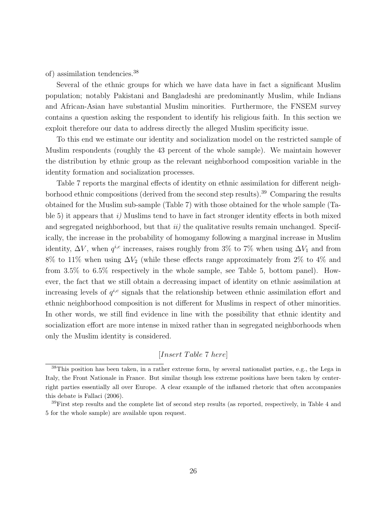#### of) assimilation tendencies.<sup>38</sup>

Several of the ethnic groups for which we have data have in fact a significant Muslim population; notably Pakistani and Bangladeshi are predominantly Muslim, while Indians and African-Asian have substantial Muslim minorities. Furthermore, the FNSEM survey contains a question asking the respondent to identify his religious faith. In this section we exploit therefore our data to address directly the alleged Muslim specificity issue.

To this end we estimate our identity and socialization model on the restricted sample of Muslim respondents (roughly the 43 percent of the whole sample). We maintain however the distribution by ethnic group as the relevant neighborhood composition variable in the identity formation and socialization processes.

Table 7 reports the marginal effects of identity on ethnic assimilation for different neighborhood ethnic compositions (derived from the second step results).<sup>39</sup> Comparing the results obtained for the Muslim sub-sample (Table 7) with those obtained for the whole sample (Table 5) it appears that  $i$ ) Muslims tend to have in fact stronger identity effects in both mixed and segregated neighborhood, but that  $ii)$  the qualitative results remain unchanged. Specifically, the increase in the probability of homogamy following a marginal increase in Muslim identity,  $\Delta V$ , when  $q^{i,c}$  increases, raises roughly from 3% to 7% when using  $\Delta V_1$  and from 8% to 11% when using  $\Delta V_2$  (while these effects range approximately from 2% to 4% and from 3.5% to 6.5% respectively in the whole sample, see Table 5, bottom panel). However, the fact that we still obtain a decreasing impact of identity on ethnic assimilation at increasing levels of  $q^{i,c}$  signals that the relationship between ethnic assimilation effort and ethnic neighborhood composition is not different for Muslims in respect of other minorities. In other words, we still find evidence in line with the possibility that ethnic identity and socialization effort are more intense in mixed rather than in segregated neighborhoods when only the Muslim identity is considered.

#### [Insert Table 7 here]

<sup>38</sup>This position has been taken, in a rather extreme form, by several nationalist parties, e.g., the Lega in Italy, the Front Nationale in France. But similar though less extreme positions have been taken by centerright parties essentially all over Europe. A clear example of the inflamed rhetoric that often accompanies this debate is Fallaci (2006).

<sup>&</sup>lt;sup>39</sup>First step results and the complete list of second step results (as reported, respectively, in Table 4 and 5 for the whole sample) are available upon request.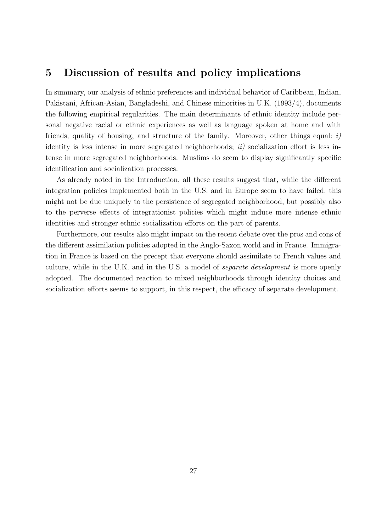### 5 Discussion of results and policy implications

In summary, our analysis of ethnic preferences and individual behavior of Caribbean, Indian, Pakistani, African-Asian, Bangladeshi, and Chinese minorities in U.K. (1993/4), documents the following empirical regularities. The main determinants of ethnic identity include personal negative racial or ethnic experiences as well as language spoken at home and with friends, quality of housing, and structure of the family. Moreover, other things equal:  $i$ ) identity is less intense in more segregated neighborhoods;  $ii)$  socialization effort is less intense in more segregated neighborhoods. Muslims do seem to display significantly specific identification and socialization processes.

As already noted in the Introduction, all these results suggest that, while the different integration policies implemented both in the U.S. and in Europe seem to have failed, this might not be due uniquely to the persistence of segregated neighborhood, but possibly also to the perverse effects of integrationist policies which might induce more intense ethnic identities and stronger ethnic socialization efforts on the part of parents.

Furthermore, our results also might impact on the recent debate over the pros and cons of the different assimilation policies adopted in the Anglo-Saxon world and in France. Immigration in France is based on the precept that everyone should assimilate to French values and culture, while in the U.K. and in the U.S. a model of separate development is more openly adopted. The documented reaction to mixed neighborhoods through identity choices and socialization efforts seems to support, in this respect, the efficacy of separate development.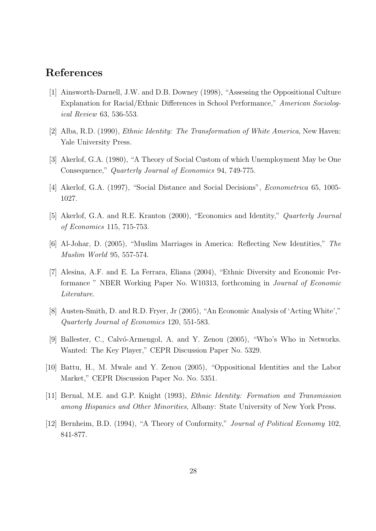# References

- [1] Ainsworth-Darnell, J.W. and D.B. Downey (1998), "Assessing the Oppositional Culture Explanation for Racial/Ethnic Differences in School Performance," American Sociological Review 63, 536-553.
- [2] Alba, R.D. (1990), Ethnic Identity: The Transformation of White America, New Haven: Yale University Press.
- [3] Akerlof, G.A. (1980), "A Theory of Social Custom of which Unemployment May be One Consequence," Quarterly Journal of Economics 94, 749-775.
- [4] Akerlof, G.A. (1997), "Social Distance and Social Decisions", Econometrica 65, 1005- 1027.
- [5] Akerlof, G.A. and R.E. Kranton (2000), "Economics and Identity," Quarterly Journal of Economics 115, 715-753.
- [6] Al-Johar, D. (2005), "Muslim Marriages in America: Reflecting New Identities," The Muslim World 95, 557-574.
- [7] Alesina, A.F. and E. La Ferrara, Eliana (2004), "Ethnic Diversity and Economic Performance " NBER Working Paper No. W10313, forthcoming in Journal of Economic Literature.
- [8] Austen-Smith, D. and R.D. Fryer, Jr (2005), "An Economic Analysis of 'Acting White'," Quarterly Journal of Economics 120, 551-583.
- [9] Ballester, C., Calvó-Armengol, A. and Y. Zenou (2005), "Who's Who in Networks. Wanted: The Key Player," CEPR Discussion Paper No. 5329.
- [10] Battu, H., M. Mwale and Y. Zenou (2005), "Oppositional Identities and the Labor Market," CEPR Discussion Paper No. No. 5351.
- [11] Bernal, M.E. and G.P. Knight (1993), Ethnic Identity: Formation and Transmission among Hispanics and Other Minorities, Albany: State University of New York Press.
- [12] Bernheim, B.D. (1994), "A Theory of Conformity," Journal of Political Economy 102, 841-877.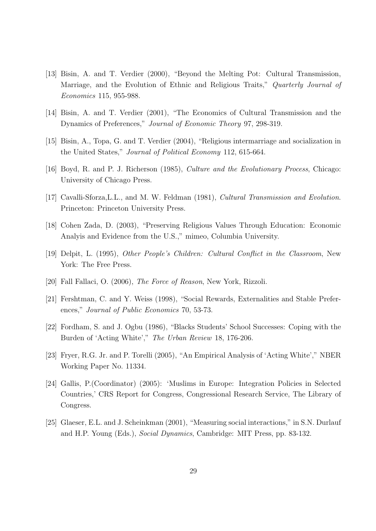- [13] Bisin, A. and T. Verdier (2000), "Beyond the Melting Pot: Cultural Transmission, Marriage, and the Evolution of Ethnic and Religious Traits," Quarterly Journal of Economics 115, 955-988.
- [14] Bisin, A. and T. Verdier (2001), "The Economics of Cultural Transmission and the Dynamics of Preferences," Journal of Economic Theory 97, 298-319.
- [15] Bisin, A., Topa, G. and T. Verdier (2004), "Religious intermarriage and socialization in the United States," Journal of Political Economy 112, 615-664.
- [16] Boyd, R. and P. J. Richerson (1985), Culture and the Evolutionary Process, Chicago: University of Chicago Press.
- [17] Cavalli-Sforza,L.L., and M. W. Feldman (1981), Cultural Transmission and Evolution. Princeton: Princeton University Press.
- [18] Cohen Zada, D. (2003), "Preserving Religious Values Through Education: Economic Analyis and Evidence from the U.S.," mimeo, Columbia University.
- [19] Delpit, L. (1995), Other People's Children: Cultural Conflict in the Classroom, New York: The Free Press.
- [20] Fall Fallaci, O. (2006), The Force of Reason, New York, Rizzoli.
- [21] Fershtman, C. and Y. Weiss (1998), "Social Rewards, Externalities and Stable Preferences," Journal of Public Economics 70, 53-73.
- [22] Fordham, S. and J. Ogbu (1986), "Blacks Students' School Successes: Coping with the Burden of 'Acting White'," The Urban Review 18, 176-206.
- [23] Fryer, R.G. Jr. and P. Torelli (2005), "An Empirical Analysis of 'Acting White'," NBER Working Paper No. 11334.
- [24] Gallis, P.(Coordinator) (2005): 'Muslims in Europe: Integration Policies in Selected Countries,' CRS Report for Congress, Congressional Research Service, The Library of Congress.
- [25] Glaeser, E.L. and J. Scheinkman (2001), "Measuring social interactions," in S.N. Durlauf and H.P. Young (Eds.), Social Dynamics, Cambridge: MIT Press, pp. 83-132.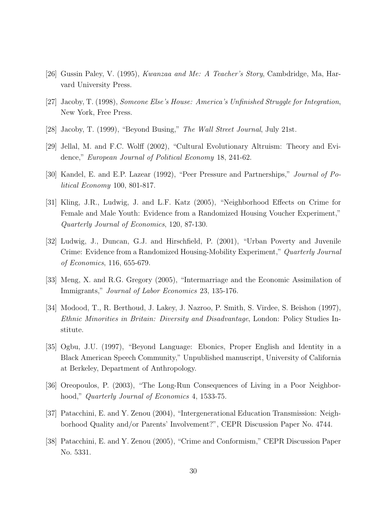- [26] Gussin Paley, V. (1995), Kwanzaa and Me: A Teacher's Story, Cambdridge, Ma, Harvard University Press.
- [27] Jacoby, T. (1998), Someone Else's House: America's Unfinished Struggle for Integration, New York, Free Press.
- [28] Jacoby, T. (1999), "Beyond Busing," The Wall Street Journal, July 21st.
- [29] Jellal, M. and F.C. Wolff (2002), "Cultural Evolutionary Altruism: Theory and Evidence," European Journal of Political Economy 18, 241-62.
- [30] Kandel, E. and E.P. Lazear (1992), "Peer Pressure and Partnerships," Journal of Political Economy 100, 801-817.
- [31] Kling, J.R., Ludwig, J. and L.F. Katz (2005), "Neighborhood Effects on Crime for Female and Male Youth: Evidence from a Randomized Housing Voucher Experiment," Quarterly Journal of Economics, 120, 87-130.
- [32] Ludwig, J., Duncan, G.J. and Hirschfield, P. (2001), "Urban Poverty and Juvenile Crime: Evidence from a Randomized Housing-Mobility Experiment," Quarterly Journal of Economics, 116, 655-679.
- [33] Meng, X. and R.G. Gregory (2005), "Intermarriage and the Economic Assimilation of Immigrants," Journal of Labor Economics 23, 135-176.
- [34] Modood, T., R. Berthoud, J. Lakey, J. Nazroo, P. Smith, S. Virdee, S. Beishon (1997), Ethnic Minorities in Britain: Diversity and Disadvantage, London: Policy Studies Institute.
- [35] Ogbu, J.U. (1997), "Beyond Language: Ebonics, Proper English and Identity in a Black American Speech Community," Unpublished manuscript, University of California at Berkeley, Department of Anthropology.
- [36] Oreopoulos, P. (2003), "The Long-Run Consequences of Living in a Poor Neighborhood," *Quarterly Journal of Economics* 4, 1533-75.
- [37] Patacchini, E. and Y. Zenou (2004), "Intergenerational Education Transmission: Neighborhood Quality and/or Parents' Involvement?", CEPR Discussion Paper No. 4744.
- [38] Patacchini, E. and Y. Zenou (2005), "Crime and Conformism," CEPR Discussion Paper No. 5331.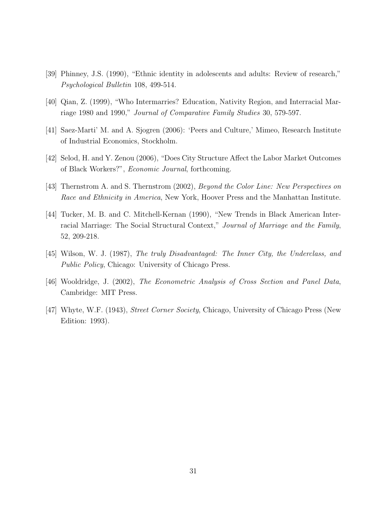- [39] Phinney, J.S. (1990), "Ethnic identity in adolescents and adults: Review of research," Psychological Bulletin 108, 499-514.
- [40] Qian, Z. (1999), "Who Intermarries? Education, Nativity Region, and Interracial Marriage 1980 and 1990," Journal of Comparative Family Studies 30, 579-597.
- [41] Saez-Marti' M. and A. Sjogren (2006): 'Peers and Culture,' Mimeo, Research Institute of Industrial Economics, Stockholm.
- [42] Selod, H. and Y. Zenou (2006), "Does City Structure Affect the Labor Market Outcomes of Black Workers?", Economic Journal, forthcoming.
- [43] Thernstrom A. and S. Thernstrom (2002), *Beyond the Color Line: New Perspectives on* Race and Ethnicity in America, New York, Hoover Press and the Manhattan Institute.
- [44] Tucker, M. B. and C. Mitchell-Kernan (1990), "New Trends in Black American Interracial Marriage: The Social Structural Context," Journal of Marriage and the Family, 52, 209-218.
- [45] Wilson, W. J. (1987), The truly Disadvantaged: The Inner City, the Underclass, and Public Policy, Chicago: University of Chicago Press.
- [46] Wooldridge, J. (2002), The Econometric Analysis of Cross Section and Panel Data, Cambridge: MIT Press.
- [47] Whyte, W.F. (1943), Street Corner Society, Chicago, University of Chicago Press (New Edition: 1993).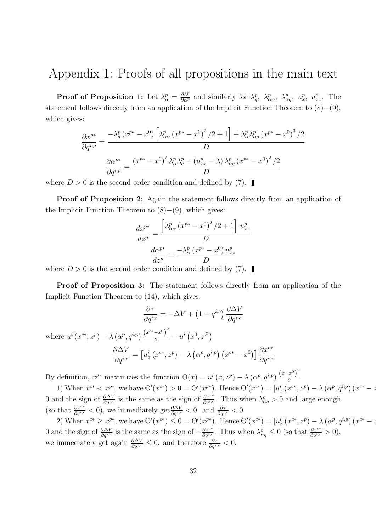# Appendix 1: Proofs of all propositions in the main text

**Proof of Proposition 1:** Let  $\lambda_{\alpha}^p = \frac{\partial \lambda^p}{\partial \alpha^p}$  and similarly for  $\lambda_q^p$ ,  $\lambda_{\alpha\alpha}^p$ ,  $\lambda_{\alpha q}^p$ ,  $u_x^p$ ,  $u_x^p$ . The statement follows directly from an application of the Implicit Function Theorem to (8)−(9), which gives:

$$
\frac{\partial x^{p*}}{\partial q^{i,p}} = \frac{-\lambda_q^p (x^{p*} - x^0) \left[ \lambda_{\alpha\alpha}^p (x^{p*} - x^0)^2 / 2 + 1 \right] + \lambda_\alpha^p \lambda_{\alpha q}^p (x^{p*} - x^0)^3 / 2}{D}
$$

$$
\frac{\partial \alpha^{p*}}{\partial q^{i,p}} = \frac{(x^{p*} - x^0)^2 \lambda_\alpha^p \lambda_q^p + (u_{xx}^p - \lambda) \lambda_{\alpha q}^p (x^{p*} - x^0)^2 / 2}{D}
$$

where  $D > 0$  is the second order condition and defined by (7).

Proof of Proposition 2: Again the statement follows directly from an application of the Implicit Function Theorem to  $(8)–(9)$ , which gives:

$$
\frac{dx^{p*}}{dz^p} = \frac{\left[\lambda_{\alpha\alpha}^p (x^{p*} - x^0)^2 / 2 + 1\right] u_{xz}^p}{D}
$$

$$
\frac{d\alpha^{p*}}{dz^p} = \frac{-\lambda_{\alpha}^p (x^{p*} - x^0) u_{xz}^p}{D}
$$

where  $D > 0$  is the second order condition and defined by (7).

Proof of Proposition 3: The statement follows directly from an application of the Implicit Function Theorem to (14), which gives:

$$
\frac{\partial \tau}{\partial q^{i,c}} = -\Delta V + \left(1 - q^{i,c}\right) \frac{\partial \Delta V}{\partial q^{i,c}}
$$
\nwhere  $u^i(x^{c*}, z^p) - \lambda (\alpha^p, q^{i,p}) \frac{\left(x^{c*} - x^0\right)^2}{2} - u^i(x^0, z^P)$ \n
$$
\frac{\partial \Delta V}{\partial q^{i,c}} = \left[u_x^i(x^{c*}, z^p) - \lambda (\alpha^p, q^{i,p}) (x^{c*} - x^0)\right] \frac{\partial x^{c*}}{\partial q^{i,c}}
$$

By definition,  $x^{p*}$  maximizes the function  $\Theta(x) = u^i(x, z^p) - \lambda (\alpha^p, q^{i,p}) \frac{(x-x^0)^2}{2}$ 2

1) When  $x^{c*} < x^{p*}$ , we have  $\Theta'(x^{c*}) > 0 = \Theta'(x^{p*})$ . Hence  $\Theta'(x^{c*}) = [u_x^i(x^{c*}, z^p) - \lambda (\alpha^p, q^{i,p})(x^{c*} - x^{i,p})]$ 0 and the sign of  $\frac{\partial \Delta V}{\partial q^{i,c}}$  is the same as the sign of  $\frac{\partial x^{c*}}{\partial q^{i,c}}$ . Thus when  $\lambda_{\alpha q}^c > 0$  and large enough (so that  $\frac{\partial x^{c*}}{\partial q^{i,c}} < 0$ ), we immediately get  $\frac{\partial \Delta V}{\partial q^{i,c}} < 0$ . and  $\frac{\partial \tau}{\partial q^{i,c}} < 0$ 

2) When  $x^{c*} \ge x^{p*}$ , we have  $\Theta'(x^{c*}) \le 0 = \Theta'(x^{p*})$ . Hence  $\Theta'(x^{c*}) = [u_x^i(x^{c*}, z^p) - \lambda (\alpha^p, q^{i,p})(x^{c*} - x^{i,p})]$ 0 and the sign of  $\frac{\partial \Delta V}{\partial q^{i,c}}$  is the same as the sign of  $-\frac{\partial x^{c*}}{\partial q^{i,c}}$ . Thus when  $\lambda_{\alpha q}^c \leq 0$  (so that  $\frac{\partial x^{c*}}{\partial q^{i,c}} > 0$ ), we immediately get again  $\frac{\partial \Delta V}{\partial q^{i,c}} \leq 0$ . and therefore  $\frac{\partial \tau}{\partial q^{i,c}} < 0$ .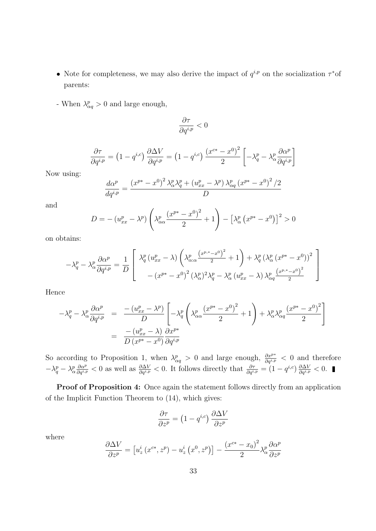- Note for completeness, we may also derive the impact of  $q^{i,p}$  on the socialization  $\tau^*$ of parents:
- When  $\lambda_{\alpha q}^p > 0$  and large enough,

$$
\frac{\partial \tau}{\partial q^{i,p}}<0
$$

$$
\frac{\partial \tau}{\partial q^{i,p}} = \left(1 - q^{i,c}\right) \frac{\partial \Delta V}{\partial q^{i,p}} = \left(1 - q^{i,c}\right) \frac{\left(x^{c*} - x^0\right)^2}{2} \left[-\lambda_q^p - \lambda_\alpha^p \frac{\partial \alpha^p}{\partial q^{i,p}}\right]
$$

Now using:

$$
\frac{d\alpha^{p}}{dq^{i,p}} = \frac{\left(x^{p*} - x^{0}\right)^{2} \lambda_{\alpha}^{p} \lambda_{q}^{p} + \left(u_{xx}^{p} - \lambda^{p}\right) \lambda_{\alpha q}^{p} \left(x^{p*} - x^{0}\right)^{2} / 2}{D}
$$

and

$$
D = -\left(u_{xx}^p - \lambda^p\right)\left(\lambda_{\alpha\alpha}^p \frac{\left(x^{p*} - x^0\right)^2}{2} + 1\right) - \left[\lambda_{\alpha}^p \left(x^{p*} - x^0\right)\right]^2 > 0
$$

on obtains:

$$
-\lambda_q^p - \lambda_\alpha^p \frac{\partial \alpha^p}{\partial q^{i,p}} = \frac{1}{D} \left[ \begin{array}{c} \lambda_q^p (u_{xx}^p - \lambda) \left( \lambda_{\alpha;\alpha}^p \frac{(x^{p,*} - x^0)^2}{2} + 1 \right) + \lambda_q^p (\lambda_\alpha^p (x^{p*} - x^0))^2 \\ - (x^{p*} - x^0)^2 (\lambda_\alpha^p)^2 \lambda_q^p - \lambda_\alpha^p (u_{xx}^p - \lambda) \lambda_{\alpha q}^p \frac{(x^{p,*} - x^0)^2}{2} \end{array} \right]
$$

Hence

$$
-\lambda_q^p - \lambda_\alpha^p \frac{\partial \alpha^p}{\partial q^{i,p}} = \frac{-(u_{xx}^p - \lambda^p)}{D} \left[ -\lambda_q^p \left( \lambda_{\alpha\alpha}^p \frac{(x^{p*} - x^0)^2}{2} + 1 \right) + \lambda_\alpha^p \lambda_{\alpha q}^p \frac{(x^{p*} - x^0)^2}{2} \right]
$$
  
= 
$$
\frac{-(u_{xx}^p - \lambda)}{D (x^{p*} - x^0)} \frac{\partial x^{p*}}{\partial q^{i,p}}
$$

So according to Proposition 1, when  $\lambda_{\alpha q}^p > 0$  and large enough,  $\frac{\partial x^{p*}}{\partial q^{i,p}} < 0$  and therefore  $-\lambda_q^p - \lambda_\alpha^p \frac{\partial \alpha^p}{\partial q^{i,p}} < 0$  as well as  $\frac{\partial \Delta V}{\partial q^{i,p}} < 0$ . It follows directly that  $\frac{\partial \tau}{\partial q^{i,p}} = (1 - q^{i,c}) \frac{\partial \Delta V}{\partial q^{i,p}} < 0$ .

Proof of Proposition 4: Once again the statement follows directly from an application of the Implicit Function Theorem to (14), which gives:

$$
\frac{\partial \tau}{\partial z^p} = \left(1 - q^{i,c}\right) \frac{\partial \Delta V}{\partial z^p}
$$

where

$$
\frac{\partial \Delta V}{\partial z^p} = \left[ u_z^i \left( x^{c*}, z^p \right) - u_z^i \left( x^0, z^p \right) \right] - \frac{\left( x^{c*} - x_0 \right)^2}{2} \lambda_\alpha^p \frac{\partial \alpha^p}{\partial z^p}
$$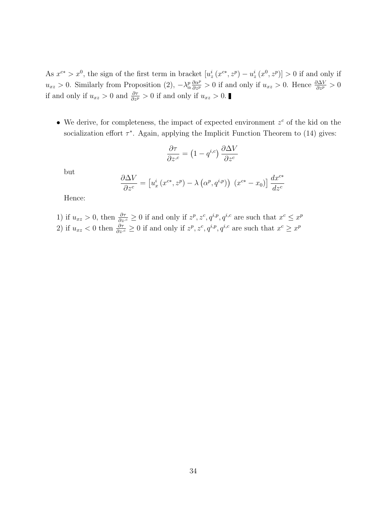As  $x^{c*} > x^0$ , the sign of the first term in bracket  $[u^i_z(x^{c*}, z^p) - u^i_z(x^0, z^p)] > 0$  if and only if  $u_{xz} > 0$ . Similarly from Proposition (2),  $-\lambda_{\alpha}^p \frac{\partial \alpha^p}{\partial z^p} > 0$  if and only if  $u_{xz} > 0$ . Hence  $\frac{\partial \Delta V}{\partial z^p} > 0$ if and only if  $u_{xz} > 0$  and  $\frac{\partial \tau}{\partial z^p} > 0$  if and only if  $u_{xz} > 0$ .

• We derive, for completeness, the impact of expected environment  $z^c$  of the kid on the socialization effort  $\tau^*$ . Again, applying the Implicit Function Theorem to (14) gives:

$$
\frac{\partial \tau}{\partial z^{c}} = \left(1 - q^{i,c}\right) \frac{\partial \Delta V}{\partial z^{c}}
$$

but

$$
\frac{\partial \Delta V}{\partial z^c} = \left[ u_x^i \left( x^{c*}, z^p \right) - \lambda \left( \alpha^p, q^{i,p} \right) \right] \left( x^{c*} - x_0 \right) \right] \frac{dx^{c*}}{dz^c}
$$

Hence:

1) if 
$$
u_{xz} > 0
$$
, then  $\frac{\partial \tau}{\partial z^c} \ge 0$  if and only if  $z^p, z^c, q^{i,p}, q^{i,c}$  are such that  $x^c \le x^p$   
2) if  $u_{xz} < 0$  then  $\frac{\partial \tau}{\partial z^c} \ge 0$  if and only if  $z^p, z^c, q^{i,p}, q^{i,c}$  are such that  $x^c \ge x^p$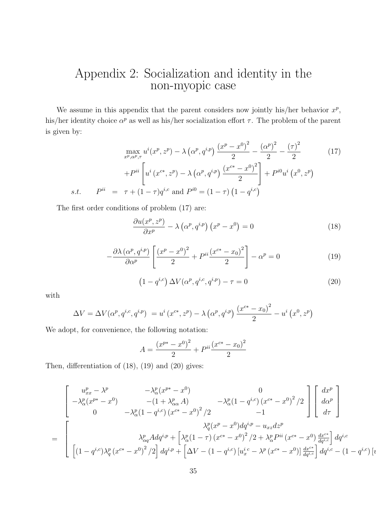# Appendix 2: Socialization and identity in the non-myopic case

We assume in this appendix that the parent considers now jointly his/her behavior  $x^p$ , his/her identity choice  $\alpha^p$  as well as his/her socialization effort  $\tau$ . The problem of the parent is given by:

$$
\max_{x^p, \alpha^p, \tau} u^i(x^p, z^p) - \lambda \left(\alpha^p, q^{i,p}\right) \frac{\left(x^p - x^0\right)^2}{2} - \frac{\left(\alpha^p\right)^2}{2} - \frac{\left(\tau\right)^2}{2}
$$
\n
$$
+ P^{ii} \left[ u^i \left(x^{c*}, z^p\right) - \lambda \left(\alpha^p, q^{i,p}\right) \frac{\left(x^{c*} - x^0\right)^2}{2} \right] + P^{i0} u^i \left(x^0, z^p\right)
$$
\n*s.t.*  $P^{ii} = \tau + (1 - \tau) q^{i,c}$  and  $P^{i0} = (1 - \tau) \left(1 - q^{i,c}\right)$  (11)

The first order conditions of problem (17) are:

$$
\frac{\partial u(x^p, z^p)}{\partial x^p} - \lambda (\alpha^p, q^{i,p}) (x^p - x^0) = 0
$$
\n(18)

$$
-\frac{\partial \lambda \left(\alpha^p, q^{i,p}\right)}{\partial \alpha^p} \left[ \frac{\left(x^p - x^0\right)^2}{2} + P^{ii} \frac{\left(x^{c*} - x_0\right)^2}{2} \right] - \alpha^p = 0 \tag{19}
$$

$$
(1 - q^{i,c}) \Delta V(\alpha^p, q^{i,c}, q^{i,p}) - \tau = 0 \qquad (20)
$$

 $\left[ \iota \right]$ 

with

$$
\Delta V = \Delta V(\alpha^p, q^{i,c}, q^{i,p}) = u^i(x^{c*}, z^p) - \lambda (\alpha^p, q^{i,p}) \frac{(x^{c*} - x_0)^2}{2} - u^i (x^0, z^p)
$$

We adopt, for convenience, the following notation:

$$
A = \frac{(x^{p*} - x^0)^2}{2} + P^{ii} \frac{(x^{c*} - x_0)^2}{2}
$$

Then, differentiation of (18), (19) and (20) gives:

$$
\begin{bmatrix}\nu_{xx}^{p} - \lambda^{p} & -\lambda_{\alpha}^{p}(x^{p*} - x^{0}) & 0 \\
-\lambda_{\alpha}^{p}(x^{p*} - x^{0}) & -(1 + \lambda_{\alpha\alpha}^{p} A) & -\lambda_{\alpha}^{p}(1 - q^{i,c}) (x^{c*} - x^{0})^{2}/2 \\
0 & -\lambda_{\alpha}^{p}(1 - q^{i,c}) (x^{c*} - x^{0})^{2}/2 & -1\n\end{bmatrix}\begin{bmatrix}\ndx^{p} \\
d\alpha^{p} \\
d\tau\n\end{bmatrix}
$$
\n
$$
= \begin{bmatrix}\n\lambda_{\alpha}^{p} (x^{p} - x^{0}) d q^{i,p} - u_{xz} dz^{p} \\
\lambda_{\alpha}^{p} (x^{q} - x^{0}) d q^{i,p} - u_{xz} dz^{p} \\
\left[ (1 - q^{i,c}) \lambda_{q}^{p} (x^{c*} - x^{0})^{2}/2 \right] dq^{i,p} + \left[ \Delta V - (1 - q^{i,c}) [u_{x}^{i,c} - \lambda^{p} (x^{c*} - x^{0})] \frac{d x^{c*}}{dq^{i,c}} \right] dq^{i,c} - (1 - q^{i,c})\n\end{bmatrix}
$$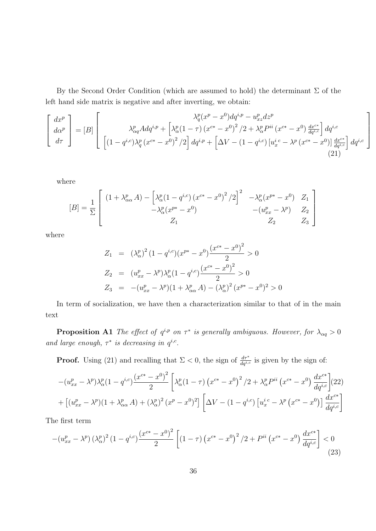By the Second Order Condition (which are assumed to hold) the determinant  $\Sigma$  of the left hand side matrix is negative and after inverting, we obtain:

$$
\begin{bmatrix}\ndx^p \\
d\alpha^p \\
d\tau\n\end{bmatrix} = [B] \begin{bmatrix}\n\lambda_{\alpha q}^p A dq^{i,p} + \left[\lambda_{\alpha}^p (1-\tau) \left(x^{c*} - x^0\right)^2 / 2 + \lambda_{\alpha}^p P^{ii} \left(x^{c*} - x^0\right) \frac{dx^{c*}}{dq^{i,c}}\right] dq^{i,c} \\
\left[(1-q^{i,c})\lambda_q^p \left(x^{c*} - x^0\right)^2 / 2\right] dq^{i,p} + \left[\Delta V - (1-q^{i,c}) \left[u_x^{i,c} - \lambda^p \left(x^{c*} - x^0\right)\right] \frac{dx^{c*}}{dq^{i,c}}\right] dq^{i,c}\n\end{bmatrix}
$$
\n(21)

where

$$
[B] = \frac{1}{\Sigma} \begin{bmatrix} (1 + \lambda_{\alpha\alpha}^p A) - \left[ \lambda_{\alpha}^p (1 - q^{i,c}) (x^{c*} - x^0)^2 / 2 \right]^2 & -\lambda_{\alpha}^p (x^{p*} - x^0) & Z_1 \\ -\lambda_{\alpha}^p (x^{p*} - x^0) & -(u_{xx}^p - \lambda^p) & Z_2 \\ Z_1 & Z_2 & Z_3 \end{bmatrix}
$$

where

$$
Z_1 = (\lambda_{\alpha}^p)^2 (1 - q^{i,c})(x^{p*} - x^0) \frac{(x^{c*} - x^0)^2}{2} > 0
$$
  
\n
$$
Z_2 = (u_{xx}^p - \lambda^p) \lambda_{\alpha}^p (1 - q^{i,c}) \frac{(x^{c*} - x^0)^2}{2} > 0
$$
  
\n
$$
Z_3 = -(u_{xx}^p - \lambda^p)(1 + \lambda_{\alpha\alpha}^p A) - (\lambda_{\alpha}^p)^2 (x^{p*} - x^0)^2 > 0
$$

In term of socialization, we have then a characterization similar to that of in the main text

**Proposition A1** The effect of  $q^{i,p}$  on  $\tau^*$  is generally ambiguous. However, for  $\lambda_{\alpha q} > 0$ and large enough,  $\tau^*$  is decreasing in  $q^{i,c}$ .

**Proof.** Using (21) and recalling that  $\Sigma < 0$ , the sign of  $\frac{d\tau^*}{dq^{i,c}}$  is given by the sign of:

$$
-(u_{xx}^p - \lambda^p)\lambda_\alpha^p (1 - q^{i,c}) \frac{(x^{c*} - x^0)^2}{2} \left[ \lambda_\alpha^p (1 - \tau) (x^{c*} - x^0)^2 / 2 + \lambda_\alpha^p P^{ii} (x^{c*} - x^0) \frac{dx^{c*}}{dq^{i,c}} \right](22)
$$
  
+ 
$$
\left[ (u_{xx}^p - \lambda^p)(1 + \lambda_{\alpha\alpha}^p A) + (\lambda_\alpha^p)^2 (x^p - x^0)^2 \right] \left[ \Delta V - (1 - q^{i,c}) \left[ u_x^{i,c} - \lambda^p (x^{c*} - x^0) \right] \frac{dx^{c*}}{dq^{i,c}} \right]
$$

The first term

$$
-(u_{xx}^p - \lambda^p) \left(\lambda_\alpha^p\right)^2 \left(1 - q^{i,c}\right) \frac{\left(x^{c*} - x^0\right)^2}{2} \left[ \left(1 - \tau\right) \left(x^{c*} - x^0\right)^2 / 2 + P^{ii} \left(x^{c*} - x^0\right) \frac{dx^{c*}}{dq^{i,c}} \right] < 0 \tag{23}
$$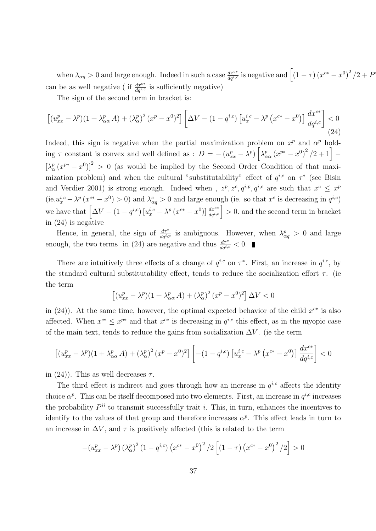when  $\lambda_{\alpha q} > 0$  and large enough. Indeed in such a case  $\frac{dx^{c*}}{dq^{i,c}}$  is negative and  $\left[ (1 - \tau) (x^{c*} - x^0)^2 / 2 + P_0 \right]$ can be as well negative (if  $\frac{dx^{c*}}{dq^{i,c}}$  is sufficiently negative)

i<br>1

The sign of the second term in bracket is:

$$
\left[ (u_{xx}^p - \lambda^p)(1 + \lambda_{\alpha\alpha}^p A) + (\lambda_{\alpha}^p)^2 (x^p - x^0)^2 \right] \left[ \Delta V - (1 - q^{i,c}) \left[ u_x^{i,c} - \lambda^p (x^{c*} - x^0) \right] \frac{dx^{c*}}{dq^{i,c}} \right] < 0 \tag{24}
$$

Indeed, this sign is negative when the partial maximization problem on  $x^p$  and  $\alpha^p$  holding  $\tau$  constant is convex and well defined as :  $D = -(u_{xx}^p - \lambda^p) \left[ \lambda_{\alpha\alpha}^p (x^{p*} - x^0)^2 / 2 + 1 \right] \left[\lambda_{\alpha}^{p}(x^{p*}-x^{0})\right]^{2} > 0$  (as would be implied by the Second Order Condition of that maximization problem) and when the cultural "substitutability" effect of  $q^{i,c}$  on  $\tau^*$  (see Bisin and Verdier 2001) is strong enough. Indeed when,  $z^p, z^c, q^{i,p}, q^{i,c}$  are such that  $x^c \leq x^p$  $(ie.u_x^{i.c} - \lambda^p (x^{c*} - x^0) > 0)$  and  $\lambda_{\alpha q}^c > 0$  and large enough (ie. so that  $x^c$  is decreasing in  $q^{i,c}$ ) we have that  $\left[\Delta V - (1-q^{i,c})\left[u_x^{i\ c} - \lambda^p\left(x^{c*} - x^0\right)\right]\frac{dx^{c*}}{dq^{i,c}}\right] > 0$ . and the second term in bracket in (24) is negative

Hence, in general, the sign of  $\frac{d\tau^*}{dq^{i,p}}$  is ambiguous. However, when  $\lambda_{\alpha q}^p > 0$  and large enough, the two terms in (24) are negative and thus  $\frac{d\tau^*}{dq^{i,c}} < 0$ .

There are intuitively three effects of a change of  $q^{i,c}$  on  $\tau^*$ . First, an increase in  $q^{i,c}$ , by the standard cultural substitutability effect, tends to reduce the socialization effort  $\tau$ . (ie the term

$$
\left[ (u_{xx}^p - \lambda^p)(1 + \lambda_{\alpha\alpha}^p A) + (\lambda_{\alpha}^p)^2 (x^p - x^0)^2 \right] \Delta V < 0
$$

in (24)). At the same time, however, the optimal expected behavior of the child  $x^{c*}$  is also affected. When  $x^{c*} \leq x^{p*}$  and that  $x^{c*}$  is decreasing in  $q^{i,c}$  this effect, as in the myopic case of the main text, tends to reduce the gains from socialization  $\Delta V$ . (ie the term

$$
\left[ (u_{xx}^p - \lambda^p)(1 + \lambda_{\alpha\alpha}^p A) + (\lambda_{\alpha}^p)^2 (x^p - x^0)^2 \right] \left[ -(1 - q^{i,c}) \left[ u_x^{i,c} - \lambda^p (x^{c*} - x^0) \right] \frac{dx^{c*}}{dq^{i,c}} \right] < 0
$$

in (24)). This as well decreases  $\tau$ .

The third effect is indirect and goes through how an increase in  $q^{i,c}$  affects the identity choice  $\alpha^p$ . This can be itself decomposed into two elements. First, an increase in  $q^{i,c}$  increases the probability  $P^{ii}$  to transmit successfully trait *i*. This, in turn, enhances the incentives to identify to the values of that group and therefore increases  $\alpha^p$ . This effect leads in turn to an increase in  $\Delta V$ , and  $\tau$  is positively affected (this is related to the term

$$
-(u_{xx}^p - \lambda^p) (\lambda_\alpha^p)^2 (1 - q^{i,c}) (x^{c*} - x^0)^2 / 2 [(1 - \tau) (x^{c*} - x^0)^2 / 2] > 0
$$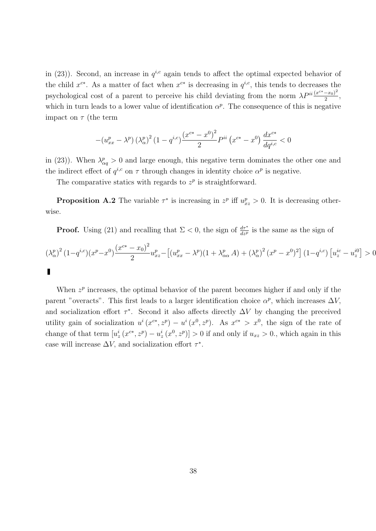in (23)). Second, an increase in  $q^{i,c}$  again tends to affect the optimal expected behavior of the child  $x^{c*}$ . As a matter of fact when  $x^{c*}$  is decreasing in  $q^{i,c}$ , this tends to decreases the psychological cost of a parent to perceive his child deviating from the norm  $\lambda P^{ii} \frac{(x^{c*}-x_0)^2}{2}$  $\frac{-x_0)}{2},$ which in turn leads to a lower value of identification  $\alpha^p$ . The consequence of this is negative impact on  $\tau$  (the term

$$
-(u^{p}_{xx} - \lambda^{p})(\lambda^{p}_{\alpha})^{2} (1 - q^{i,c}) \frac{(x^{c*} - x^{0})^{2}}{2} P^{ii} (x^{c*} - x^{0}) \frac{dx^{c*}}{dq^{i,c}} < 0
$$

in (23)). When  $\lambda_{\alpha q}^p > 0$  and large enough, this negative term dominates the other one and the indirect effect of  $q^{i,c}$  on  $\tau$  through changes in identity choice  $\alpha^p$  is negative.

The comparative statics with regards to  $z^p$  is straightforward.

**Proposition A.2** The variable  $\tau^*$  is increasing in  $z^p$  iff  $u_{xz}^p > 0$ . It is decreasing otherwise.

**Proof.** Using (21) and recalling that  $\Sigma < 0$ , the sign of  $\frac{d\tau^*}{dz^p}$  is the same as the sign of

$$
(\lambda_{\alpha}^{p})^{2} (1 - q^{i,c})(x^{p} - x^{0}) \frac{(x^{c*} - x_{0})^{2}}{2} u_{xz}^{p} - \left[ (u_{xx}^{p} - \lambda^{p})(1 + \lambda_{\alpha\alpha}^{p} A) + (\lambda_{\alpha}^{p})^{2} (x^{p} - x^{0})^{2} \right] (1 - q^{i,c}) [u_{z}^{ic} - u_{z}^{i0}] > 0
$$

When  $z^p$  increases, the optimal behavior of the parent becomes higher if and only if the parent "overacts". This first leads to a larger identification choice  $\alpha^p$ , which increases  $\Delta V$ , and socialization effort  $\tau^*$ . Second it also affects directly  $\Delta V$  by changing the preceived utility gain of socialization  $u^i(x^{c*}, z^p) - u^i(x^0, z^p)$ . As  $x^{c*} > x^0$ , the sign of the rate of change of that term  $[u_z^i(x^{c*}, z^p) - u_z^i(x^0, z^p)] > 0$  if and only if  $u_{xz} > 0$ ., which again in this case will increase  $\Delta V$ , and socialization effort  $\tau^*$ .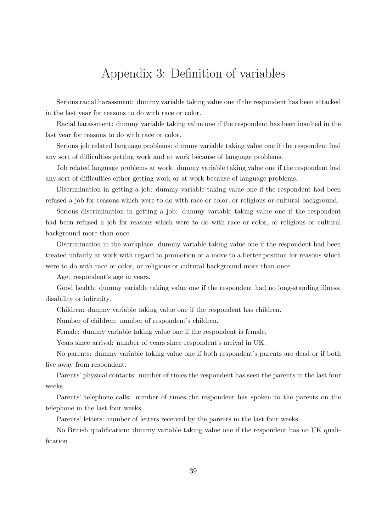# Appendix 3: Definition of variables

Serious racial harassment: dummy variable taking value one if the respondent has been attacked in the last year for reasons to do with race or color.

Racial harassment: dummy variable taking value one if the respondent has been insulted in the last year for reasons to do with race or color.

Serious job related language problems: dummy variable taking value one if the respondent had any sort of difficulties getting work and at work because of language problems.

Job related language problems at work: dummy variable taking value one if the respondent had any sort of difficulties either getting work or at work because of language problems.

Discrimination in getting a job: dummy variable taking value one if the respondent had been refused a job for reasons which were to do with race or color, or religious or cultural background.

Serious discrimination in getting a job: dummy variable taking value one if the respondent had been refused a job for reasons which were to do with race or color, or religious or cultural background more than once.

Discrimination in the workplace: dummy variable taking value one if the respondent had been treated unfairly at work with regard to promotion or a move to a better position for reasons which were to do with race or color, or religious or cultural background more than once.

Age: respondent's age in years.

Good health: dummy variable taking value one if the respondent had no long-standing illness, disability or infirmity.

Children: dummy variable taking value one if the respondent has children.

Number of children: number of respondent's children.

Female: dummy variable taking value one if the respondent is female.

Years since arrival: number of years since respondent's arrival in UK.

No parents: dummy variable taking value one if both respondent's parents are dead or if both live away from respondent.

Parents' physical contacts: number of times the respondent has seen the parents in the last four weeks.

Parents' telephone calls: number of times the respondent has spoken to the parents on the telephone in the last four weeks.

Parents' letters: number of letters received by the parents in the last four weeks.

No British qualification: dummy variable taking value one if the respondent has no UK qualification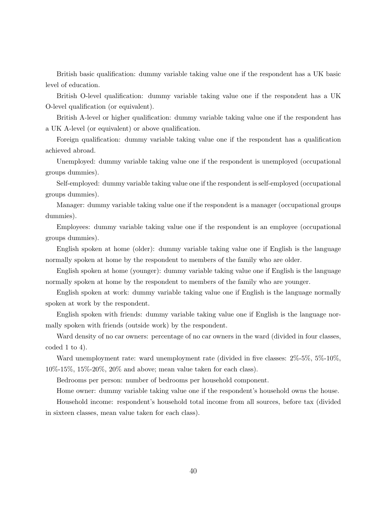British basic qualification: dummy variable taking value one if the respondent has a UK basic level of education.

British O-level qualification: dummy variable taking value one if the respondent has a UK O-level qualification (or equivalent).

British A-level or higher qualification: dummy variable taking value one if the respondent has a UK A-level (or equivalent) or above qualification.

Foreign qualification: dummy variable taking value one if the respondent has a qualification achieved abroad.

Unemployed: dummy variable taking value one if the respondent is unemployed (occupational groups dummies).

Self-employed: dummy variable taking value one if the respondent is self-employed (occupational groups dummies).

Manager: dummy variable taking value one if the respondent is a manager (occupational groups dummies).

Employees: dummy variable taking value one if the respondent is an employee (occupational groups dummies).

English spoken at home (older): dummy variable taking value one if English is the language normally spoken at home by the respondent to members of the family who are older.

English spoken at home (younger): dummy variable taking value one if English is the language normally spoken at home by the respondent to members of the family who are younger.

English spoken at work: dummy variable taking value one if English is the language normally spoken at work by the respondent.

English spoken with friends: dummy variable taking value one if English is the language normally spoken with friends (outside work) by the respondent.

Ward density of no car owners: percentage of no car owners in the ward (divided in four classes, coded 1 to 4).

Ward unemployment rate: ward unemployment rate (divided in five classes:  $2\%$ -5%,  $5\%$ -10%, 10%-15%, 15%-20%, 20% and above; mean value taken for each class).

Bedrooms per person: number of bedrooms per household component.

Home owner: dummy variable taking value one if the respondent's household owns the house.

Household income: respondent's household total income from all sources, before tax (divided in sixteen classes, mean value taken for each class).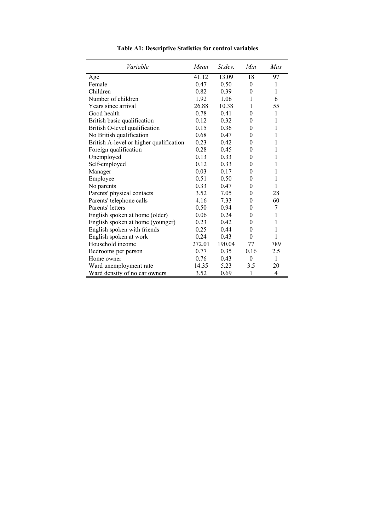| Variable                                | Mean   | St.dev. | Min          | Max          |
|-----------------------------------------|--------|---------|--------------|--------------|
| Age                                     | 41.12  | 13.09   | 18           | 97           |
| Female                                  | 0.47   | 0.50    | $\mathbf{0}$ | 1            |
| Children                                | 0.82   | 0.39    | $\theta$     | 1            |
| Number of children                      | 1.92   | 1.06    | 1            | 6            |
| Years since arrival                     | 26.88  | 10.38   | 1            | 55           |
| Good health                             | 0.78   | 0.41    | $\theta$     | $\mathbf{1}$ |
| British basic qualification             | 0.12   | 0.32    | $\theta$     | 1            |
| British O-level qualification           | 0.15   | 0.36    | $\theta$     | 1            |
| No British qualification                | 0.68   | 0.47    | $\theta$     | 1            |
| British A-level or higher qualification | 0.23   | 0.42    | $\theta$     | 1            |
| Foreign qualification                   | 0.28   | 0.45    | $\theta$     | 1            |
| Unemployed                              | 0.13   | 0.33    | $\theta$     | 1            |
| Self-employed                           | 0.12   | 0.33    | $\theta$     | 1            |
| Manager                                 | 0.03   | 0.17    | 0            | 1            |
| Employee                                | 0.51   | 0.50    | $\theta$     | 1            |
| No parents                              | 0.33   | 0.47    | $\theta$     | 1            |
| Parents' physical contacts              | 3.52   | 7.05    | $\theta$     | 28           |
| Parents' telephone calls                | 4.16   | 7.33    | $\theta$     | 60           |
| Parents' letters                        | 0.50   | 0.94    | $\theta$     | 7            |
| English spoken at home (older)          | 0.06   | 0.24    | $\theta$     | 1            |
| English spoken at home (younger)        | 0.23   | 0.42    | $\theta$     | 1            |
| English spoken with friends             | 0.25   | 0.44    | $\theta$     | 1            |
| English spoken at work                  | 0.24   | 0.43    | $\theta$     | $\mathbf{1}$ |
| Household income                        | 272.01 | 190.04  | 77           | 789          |
| Bedrooms per person                     | 0.77   | 0.35    | 0.16         | 2.5          |
| Home owner                              | 0.76   | 0.43    | $\theta$     | $\mathbf{1}$ |
| Ward unemployment rate                  | 14.35  | 5.23    | 3.5          | 20           |
| Ward density of no car owners           | 3.52   | 0.69    | 1            | 4            |

**Table A1: Descriptive Statistics for control variables**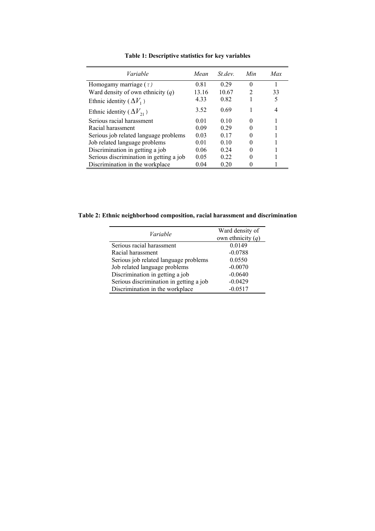| <i>Variable</i>                         | Mean  | <i>St dev</i> | Min | Max. |
|-----------------------------------------|-------|---------------|-----|------|
| Homogamy marriage ( $\tau$ )            | 0.81  | 0.29          | 0   |      |
| Ward density of own ethnicity $(q)$     | 13.16 | 10.67         | 2   | 33   |
| Ethnic identity ( $\Delta V_1$ )        | 433   | 0.82          |     | 5    |
| Ethnic identity ( $\Delta V_{21}$ )     | 3.52  | 0.69          |     | 4    |
| Serious racial harassment               | 0.01  | 010           | 0   |      |
| Racial harassment                       | 0.09  | 0.29          |     |      |
| Serious job related language problems   | 0.03  | 0.17          |     |      |
| Job related language problems           | 0.01  | 010           |     |      |
| Discrimination in getting a job         | 0.06  | 0.24          |     |      |
| Serious discrimination in getting a job | 0.05  | 0.22          |     |      |
| Discrimination in the workplace         | 0.04  | 0.20          |     |      |

**Table 1: Descriptive statistics for key variables** 

**Table 2: Ethnic neighborhood composition, racial harassment and discrimination** 

| Variable                                | Ward density of<br>own ethnicity $(q)$ |
|-----------------------------------------|----------------------------------------|
| Serious racial harassment               | 0.0149                                 |
| Racial harassment                       | $-0.0788$                              |
| Serious job related language problems   | 0.0550                                 |
| Job related language problems           | $-0.0070$                              |
| Discrimination in getting a job         | $-0.0640$                              |
| Serious discrimination in getting a job | $-0.0429$                              |
| Discrimination in the workplace         | $-0.0517$                              |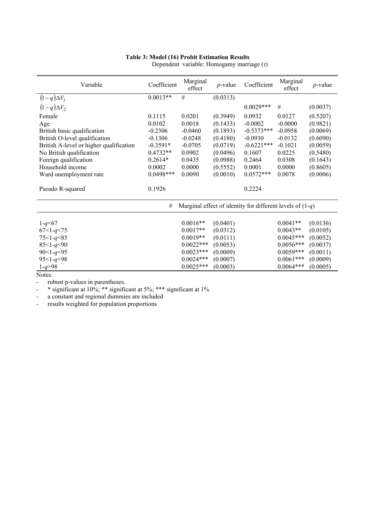#### **Table 3: Model (16) Probit Estimation Results**

| Variable                                | Coefficient | Marginal<br>effect | $p$ -value | Coefficient                                                 | Marginal<br>effect | $p$ -value |
|-----------------------------------------|-------------|--------------------|------------|-------------------------------------------------------------|--------------------|------------|
| $(1-q)\Delta V_1$                       | $0.0013**$  | #                  | (0.0313)   |                                                             |                    |            |
| $(1-q)\Delta V_2$                       |             |                    |            | $0.0029***$                                                 | #                  | (0.0037)   |
| Female                                  | 0.1115      | 0.0201             | (0.3949)   | 0.0932                                                      | 0.0127             | (0.5207)   |
| Age                                     | 0.0102      | 0.0018             | (0.1433)   | $-0.0002$                                                   | $-0.0000$          | (0.9821)   |
| British basic qualification             | $-0.2306$   | $-0.0460$          | (0.1893)   | $-0.5373***$                                                | $-0.0958$          | (0.0069)   |
| British O-level qualification           | $-0.1306$   | $-0.0248$          | (0.4180)   | $-0.0930$                                                   | $-0.0132$          | (0.6090)   |
| British A-level or higher qualification | $-0.3591*$  | $-0.0705$          | (0.0719)   | $-0.6221***$                                                | $-0.1021$          | (0.0059)   |
| No British qualification                | $0.4732**$  | 0.0902             | (0.0496)   | 0.1607                                                      | 0.0225             | (0.5480)   |
| Foreign qualification                   | $0.2614*$   | 0.0435             | (0.0988)   | 0.2464                                                      | 0.0308             | (0.1643)   |
| Household income                        | 0.0002      | 0.0000             | (0.5552)   | 0.0001                                                      | 0.0000             | (0.8605)   |
| Ward unemployment rate                  | $0.0498***$ | 0.0090             | (0.0010)   | $0.0572***$                                                 | 0.0078             | (0.0006)   |
| Pseudo R-squared                        | 0.1926      |                    |            | 0.2224                                                      |                    |            |
|                                         | $\#$        |                    |            | Marginal effect of identity for different levels of $(1-q)$ |                    |            |
| $1 - q \leq 67$                         |             | $0.0016**$         | (0.0401)   |                                                             | $0.0041**$         | (0.0136)   |
| $67 < 1 - q < 75$                       |             | $0.0017**$         | (0.0312)   |                                                             | $0.0043**$         | (0.0105)   |
| $75 < 1 - q < 85$                       |             | $0.0019**$         | (0.0111)   |                                                             | $0.0045***$        | (0.0052)   |
| $85 < 1 - q < 90$                       |             | $0.0022***$        | (0.0053)   |                                                             | $0.0056***$        | (0.0037)   |
| $90 < 1 - q < 95$                       |             | $0.0023***$        | (0.0009)   |                                                             | $0.0059***$        | (0.0011)   |
| $95 < 1 - q < 98$                       |             | $0.0024***$        | (0.0007)   |                                                             | $0.0061***$        | (0.0009)   |
| $1 - q > 98$                            |             | $0.0025***$        | (0.0003)   |                                                             | $0.0064***$        | (0.0005)   |
| Notes:                                  |             |                    |            |                                                             |                    |            |

Dependent variable: Homogamy marriage (*τ*)

Notes:

- robust p-values in parentheses.

 $\frac{10\%}{10\%}$  \* significant at 10%; \*\*\* significant at 1%

- a constant and regional dummies are included

- results weighted for population proportions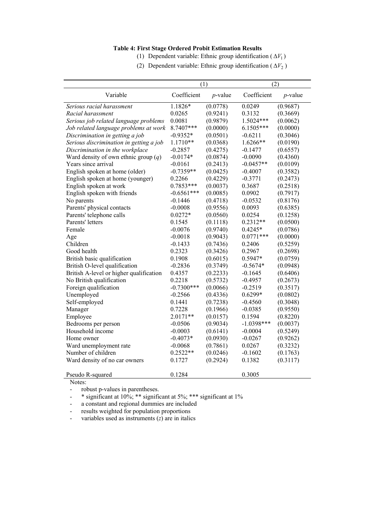#### **Table 4: First Stage Ordered Probit Estimation Results**

- (1) Dependent variable: Ethnic group identification  $(\Delta V_1)$
- (2) Dependent variable: Ethnic group identification ( $\Delta V_2$ )

|                                         | (1)          |            | (2)          |            |
|-----------------------------------------|--------------|------------|--------------|------------|
| Variable                                | Coefficient  | $p$ -value | Coefficient  | $p$ -value |
| Serious racial harassment               | 1.1826*      | (0.0778)   | 0.0249       | (0.9687)   |
| Racial harassment                       | 0.0265       | (0.9241)   | 0.3132       | (0.3669)   |
| Serious job related language problems   | 0.0081       | (0.9879)   | 1.5024***    | (0.0062)   |
| Job related language problems at work   | 8.7407***    | (0.0000)   | 6.1505***    | (0.0000)   |
| Discrimination in getting a job         | $-0.9352*$   | (0.0501)   | $-0.6211$    | (0.3046)   |
| Serious discrimination in getting a job | $1.1710**$   | (0.0368)   | 1.6266**     | (0.0190)   |
| Discrimination in the workplace         | $-0.2857$    | (0.4275)   | $-0.1477$    | (0.6557)   |
| Ward density of own ethnic group $(q)$  | $-0.0174*$   | (0.0874)   | $-0.0090$    | (0.4360)   |
| Years since arrival                     | $-0.0161$    | (0.2413)   | $-0.0457**$  | (0.0109)   |
| English spoken at home (older)          | $-0.7359**$  | (0.0425)   | $-0.4007$    | (0.3582)   |
| English spoken at home (younger)        | 0.2266       | (0.4229)   | $-0.3771$    | (0.2473)   |
| English spoken at work                  | 0.7853***    | (0.0037)   | 0.3687       | (0.2518)   |
| English spoken with friends             | $-0.6561***$ | (0.0085)   | 0.0902       | (0.7917)   |
| No parents                              | $-0.1446$    | (0.4718)   | $-0.0532$    | (0.8176)   |
| Parents' physical contacts              | $-0.0008$    | (0.9556)   | 0.0093       | (0.6385)   |
| Parents' telephone calls                | $0.0272*$    | (0.0560)   | 0.0254       | (0.1258)   |
| Parents' letters                        | 0.1545       | (0.1118)   | $0.2312**$   | (0.0500)   |
| Female                                  | $-0.0076$    | (0.9740)   | $0.4245*$    | (0.0786)   |
| Age                                     | $-0.0018$    | (0.9043)   | $0.0771***$  | (0.0000)   |
| Children                                | $-0.1433$    | (0.7436)   | 0.2406       | (0.5259)   |
| Good health                             | 0.2323       | (0.3426)   | 0.2967       | (0.2698)   |
| British basic qualification             | 0.1908       | (0.6015)   | 0.5947*      | (0.0759)   |
| British O-level qualification           | $-0.2836$    | (0.3749)   | $-0.5674*$   | (0.0948)   |
| British A-level or higher qualification | 0.4357       | (0.2233)   | $-0.1645$    | (0.6406)   |
| No British qualification                | 0.2218       | (0.5732)   | $-0.4957$    | (0.2673)   |
| Foreign qualification                   | $-0.7300***$ | (0.0066)   | $-0.2519$    | (0.3517)   |
| Unemployed                              | $-0.2566$    | (0.4336)   | $0.6299*$    | (0.0802)   |
| Self-employed                           | 0.1441       | (0.7238)   | $-0.4560$    | (0.3048)   |
| Manager                                 | 0.7228       | (0.1966)   | $-0.0385$    | (0.9550)   |
| Employee                                | 2.0171**     | (0.0157)   | 0.1594       | (0.8220)   |
| Bedrooms per person                     | $-0.0506$    | (0.9034)   | $-1.0398***$ | (0.0037)   |
| Household income                        | $-0.0003$    | (0.6141)   | $-0.0004$    | (0.5249)   |
| Home owner                              | $-0.4073*$   | (0.0930)   | $-0.0267$    | (0.9262)   |
| Ward unemployment rate                  | $-0.0068$    | (0.7861)   | 0.0267       | (0.3232)   |
| Number of children                      | $0.2522**$   | (0.0246)   | $-0.1602$    | (0.1763)   |
| Ward density of no car owners           | 0.1727       | (0.2924)   | 0.1382       | (0.3117)   |
| Pseudo R-squared                        | 0.1284       |            | 0.3005       |            |

Notes:

- robust p-values in parentheses.

 $\frac{10\%}{10\%}$  \* significant at 10%; \*\*\* significant at 1%

- a constant and regional dummies are included

- results weighted for population proportions

- variables used as instruments (*z*) are in italics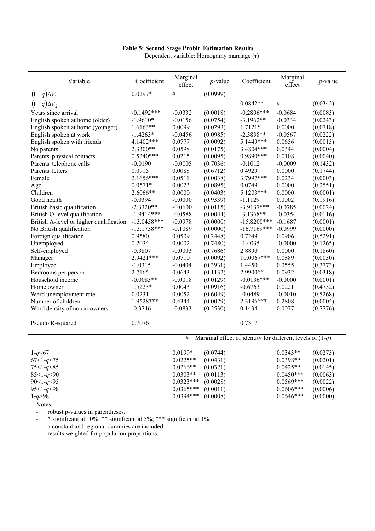#### **Table 5: Second Stage Probit Estimation Results**

Dependent variable: Homogamy marriage (τ)

| Variable                                | Coefficient   | Marginal<br>effect | $p$ -value | Coefficient                                                 | Marginal<br>effect | $p$ -value |
|-----------------------------------------|---------------|--------------------|------------|-------------------------------------------------------------|--------------------|------------|
| $(1-q)\Delta V_1$                       | $0.0297*$     | $\overline{\#}$    | (0.0999)   |                                                             |                    |            |
| $(1-q)\Delta V_2$                       |               |                    |            | $0.0842**$                                                  | #                  | (0.0342)   |
| Years since arrival                     | $-0.1492***$  | $-0.0332$          | (0.0018)   | $-0.2896***$                                                | $-0.0684$          | (0.0083)   |
| English spoken at home (older)          | $-1.9610*$    | $-0.0156$          | (0.0754)   | $-3.1962**$                                                 | $-0.0334$          | (0.0243)   |
| English spoken at home (younger)        | $1.6163**$    | 0.0099             | (0.0293)   | $1.7121*$                                                   | 0.0000             | (0.0718)   |
| English spoken at work                  | $-1.4263*$    | $-0.0456$          | (0.0985)   | $-2.3838**$                                                 | $-0.0567$          | (0.0222)   |
| English spoken with friends             | 4.1402***     | 0.0777             | (0.0092)   | 5.1449***                                                   | 0.0656             | (0.0015)   |
| No parents                              | 2.3300**      | 0.0598             | (0.0175)   | 3.4804***                                                   | 0.0344             | (0.0004)   |
| Parents' physical contacts              | $0.5240***$   | 0.0215             | (0.0095)   | 0.9890 ***                                                  | 0.0108             | (0.0040)   |
| Parents' telephone calls                | $-0.0190$     | $-0.0005$          | (0.7036)   | $-0.1012$                                                   | $-0.0009$          | (0.1432)   |
| Parents' letters                        | 0.0915        | 0.0088             | (0.6712)   | 0.4929                                                      | 0.0000             | (0.1744)   |
| Female                                  | 2.1656***     | 0.0511             | (0.0038)   | 3.7997***                                                   | 0.0234             | (0.0003)   |
| Age                                     | $0.0571*$     | 0.0023             | (0.0895)   | 0.0749                                                      | 0.0000             | (0.2551)   |
| Children                                | 2.6066**      | 0.0000             | (0.0403)   | 5.1203***                                                   | 0.0000             | (0.0001)   |
| Good health                             | $-0.0394$     | $-0.0000$          | (0.9339)   | $-1.1129$                                                   | 0.0002             | (0.1916)   |
| British basic qualification             | $-2.3320**$   | $-0.0600$          | (0.0115)   | $-3.9137***$                                                | $-0.0785$          | (0.0024)   |
| British O-level qualification           | $-1.9414***$  | $-0.0588$          | (0.0044)   | $-3.1368**$                                                 | $-0.0354$          | (0.0116)   |
| British A-level or higher qualification | $-13.0458***$ | $-0.0978$          | (0.0000)   | $-15.8200***$                                               | $-0.1687$          | (0.0001)   |
| No British qualification                | $-13.1738***$ | $-0.1089$          | (0.0000)   | $-16.7169***$                                               | $-0.0999$          | (0.0000)   |
| Foreign qualification                   | 0.9580        | 0.0509             | (0.2448)   | 0.7249                                                      | 0.0906             | (0.5291)   |
| Unemployed                              | 0.2034        | 0.0002             | (0.7480)   | $-1.4035$                                                   | $-0.0000$          | (0.1265)   |
| Self-employed                           | $-0.3807$     | $-0.0003$          | (0.7686)   | 2.8890                                                      | 0.0000             | (0.1860)   |
| Manager                                 | 2.9421 ***    | 0.0710             | (0.0092)   | 10.0067***                                                  | 0.0889             | (0.0030)   |
| Employee                                | $-1.0315$     | $-0.0404$          | (0.3931)   | 1.4450                                                      | 0.0555             | (0.3773)   |
| Bedrooms per person                     | 2.7165        | 0.0643             | (0.1132)   | 2.9900**                                                    | 0.0932             | (0.0318)   |
| Household income                        | $-0.0083**$   | $-0.0018$          | (0.0129)   | $-0.0136***$                                                | $-0.0000$          | (0.0001)   |
| Home owner                              | $1.5223*$     | 0.0043             | (0.0916)   | $-0.6763$                                                   | 0.0221             | (0.4752)   |
| Ward unemployment rate                  | 0.0231        | 0.0052             | (0.6049)   | $-0.0489$                                                   | $-0.0010$          | (0.5268)   |
| Number of children                      | 1.9528***     | 0.4344             | (0.0029)   | 2.3196***                                                   | 0.2808             | (0.0005)   |
| Ward density of no car owners           | $-0.3746$     | $-0.0833$          | (0.2530)   | 0.1434                                                      | 0.0077             | (0.7776)   |
|                                         |               |                    |            |                                                             |                    |            |
| Pseudo R-squared                        | 0.7076        |                    |            | 0.7317                                                      |                    |            |
|                                         |               | #                  |            | Marginal effect of identity for different levels of $(1-q)$ |                    |            |
|                                         |               |                    |            |                                                             |                    |            |
| $1 - q \le 67$                          |               | 0.0199*            | (0.0744)   |                                                             | $0.0343**$         | (0.0273)   |
| $67 < 1 - q < 75$                       |               | $0.0225**$         | (0.0431)   |                                                             | $0.0398**$         | (0.0201)   |
| $75 < 1 - q < 85$                       |               | $0.0266**$         | (0.0321)   |                                                             | $0.0425**$         | (0.0145)   |
| $85 < 1 - q < 90$                       |               | $0.0303**$         | (0.0113)   |                                                             | $0.0450***$        | (0.0063)   |
| $90 < 1 - q < 95$                       |               | $0.0323***$        | (0.0028)   |                                                             | $0.0569***$        | (0.0022)   |
| $95 < 1 - q < 98$                       |               | $0.0365***$        | (0.0011)   |                                                             | $0.0606***$        | (0.0006)   |
| $1 - q > 98$                            |               | 0.0394***          | (0.0008)   |                                                             | $0.0646***$        | (0.0000)   |

Notes:

- robust p-values in parentheses.

<sup>-</sup> \* significant at 10%; \*\* significant at 5%; \*\*\* significant at 1%.

- a constant and regional dummies are included.

- results weighted for population proportions.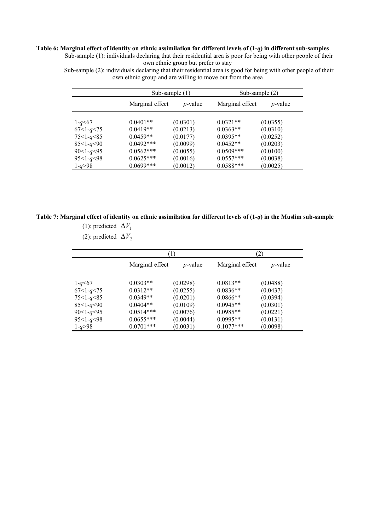#### **Table 6: Marginal effect of identity on ethnic assimilation for different levels of (1-***q***) in different sub-samples**

Sub-sample (1): individuals declaring that their residential area is poor for being with other people of their own ethnic group but prefer to stay

Sub-sample (2): individuals declaring that their residential area is good for being with other people of their own ethnic group and are willing to move out from the area

|                   |                 | Sub-sample $(1)$ | Sub-sample (2) |            |  |
|-------------------|-----------------|------------------|----------------|------------|--|
|                   | Marginal effect | $p$ -value       |                | $p$ -value |  |
| $1 - q \leq 67$   | $0.0401**$      | (0.0301)         | $0.0321**$     | (0.0355)   |  |
| $67<1-q<75$       | $0.0419**$      | (0.0213)         | $0.0363**$     | (0.0310)   |  |
| $75 < 1 - q < 85$ | $0.0459**$      | (0.0177)         | $0.0395**$     | (0.0252)   |  |
| $85 < 1 - q < 90$ | $0.0492***$     | (0.0099)         | $0.0452**$     | (0.0203)   |  |
| $90 < 1 - q < 95$ | $0.0562***$     | (0.0055)         | $0.0509***$    | (0.0100)   |  |
| $95 < 1 - q < 98$ | $0.0625***$     | (0.0016)         | $0.0557***$    | (0.0038)   |  |
| $1 - q > 98$      | $0.0699***$     | (0.0012)         | $0.0588***$    | (0.0025)   |  |

#### **Table 7: Marginal effect of identity on ethnic assimilation for different levels of (1-***q***) in the Muslim sub-sample**  (1): predicted  $\Delta V_1$

(2): predicted  $\Delta V_2$ 

|                   |                               | 1)       | (2)             |                 |  |
|-------------------|-------------------------------|----------|-----------------|-----------------|--|
|                   | Marginal effect<br>$p$ -value |          | Marginal effect | <i>p</i> -value |  |
| $1 - q \leq 67$   | $0.0303**$                    | (0.0298) | $0.0813**$      | (0.0488)        |  |
| $67<1-q<75$       | $0.0312**$                    | (0.0255) | $0.0836**$      | (0.0437)        |  |
| $75 < 1 - q < 85$ | $0.0349**$                    | (0.0201) | $0.0866**$      | (0.0394)        |  |
| $85 < 1 - q < 90$ | $0.0404**$                    | (0.0109) | $0.0945**$      | (0.0301)        |  |
| $90 < 1 - q < 95$ | $0.0514***$                   | (0.0076) | $0.0985**$      | (0.0221)        |  |
| $95 < 1 - q < 98$ | $0.0655***$                   | (0.0044) | $0.0995**$      | (0.0131)        |  |
| $1 - q > 98$      | $0.0701***$                   | (0.0031) | $0.1077***$     | (0.0098)        |  |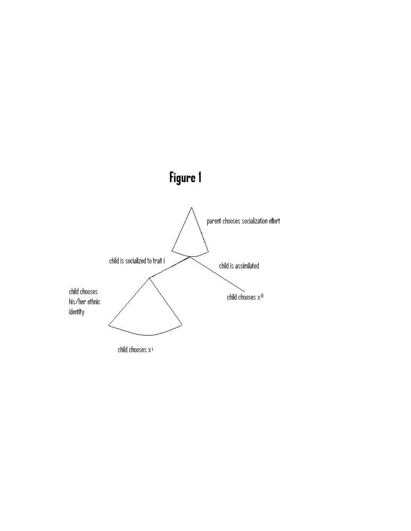